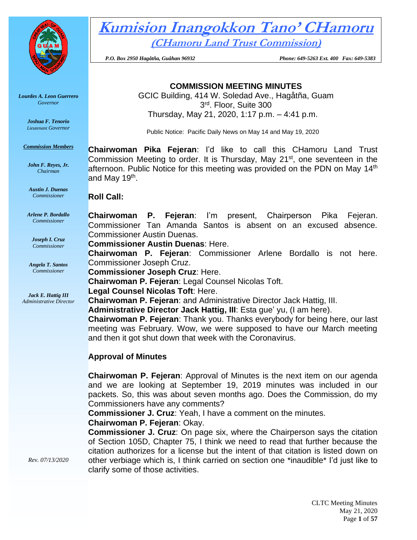

*Lourdes A. Leon Guerrero Governor* 

> *Joshua F. Tenorio Lieutenant Governor*

*Commission Members*

*John F. Reyes, Jr. Chairman*

*Austin J. Duenas Commissioner*

*Arlene P. Bordallo Commissioner*

> *Joseph I. Cruz Commissioner*

*Angela T. Santos Commissioner*

*Jack E. Hattig III Administrative Director* **Kumision Inangokkon Tano' CHamoru (CHamoru Land Trust Commission)**

 *P.O. Box 2950 Hagåtña, Guåhan 96932 Phone: 649-5263 Ext. 400 Fax: 649-5383*

**COMMISSION MEETING MINUTES**

GCIC Building, 414 W. Soledad Ave., Hagåtña, Guam 3 rd. Floor, Suite 300 Thursday, May 21, 2020, 1:17 p.m. – 4:41 p.m.

Public Notice: Pacific Daily News on May 14 and May 19, 2020

**Chairwoman Pika Fejeran**: I'd like to call this CHamoru Land Trust Commission Meeting to order. It is Thursday, May 21<sup>st</sup>, one seventeen in the afternoon. Public Notice for this meeting was provided on the PDN on May 14<sup>th</sup> and May 19<sup>th</sup>.

### **Roll Call:**

**Chairwoman P. Fejeran**: I'm present, Chairperson Pika Fejeran. Commissioner Tan Amanda Santos is absent on an excused absence. Commissioner Austin Duenas.

**Commissioner Austin Duenas**: Here.

**Chairwoman P. Fejeran**: Commissioner Arlene Bordallo is not here. Commissioner Joseph Cruz.

**Commissioner Joseph Cruz**: Here.

**Chairwoman P. Fejeran**: Legal Counsel Nicolas Toft.

**Legal Counsel Nicolas Toft**: Here.

**Chairwoman P. Fejeran**: and Administrative Director Jack Hattig, III.

**Administrative Director Jack Hattig, III**: Esta gue' yu, (I am here).

**Chairwoman P. Fejeran**: Thank you. Thanks everybody for being here, our last meeting was February. Wow, we were supposed to have our March meeting and then it got shut down that week with the Coronavirus.

# **Approval of Minutes**

**Chairwoman P. Fejeran**: Approval of Minutes is the next item on our agenda and we are looking at September 19, 2019 minutes was included in our packets. So, this was about seven months ago. Does the Commission, do my Commissioners have any comments?

**Commissioner J. Cruz**: Yeah, I have a comment on the minutes.

**Chairwoman P. Fejeran**: Okay.

**Commissioner J. Cruz**: On page six, where the Chairperson says the citation of Section 105D, Chapter 75, I think we need to read that further because the citation authorizes for a license but the intent of that citation is listed down on other verbiage which is, I think carried on section one \*inaudible\* I'd just like to clarify some of those activities.

*Rev. 07/13/2020*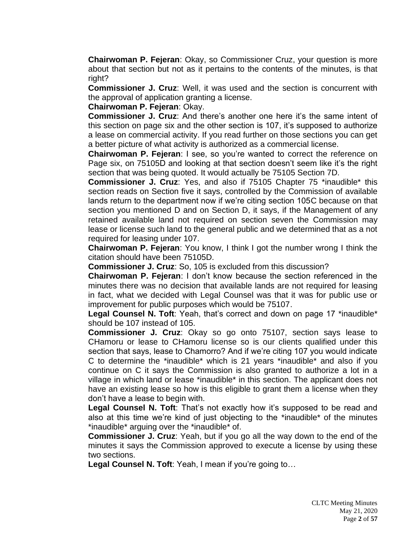**Chairwoman P. Fejeran**: Okay, so Commissioner Cruz, your question is more about that section but not as it pertains to the contents of the minutes, is that right?

**Commissioner J. Cruz**: Well, it was used and the section is concurrent with the approval of application granting a license.

## **Chairwoman P. Fejeran**: Okay.

**Commissioner J. Cruz**: And there's another one here it's the same intent of this section on page six and the other section is 107, it's supposed to authorize a lease on commercial activity. If you read further on those sections you can get a better picture of what activity is authorized as a commercial license.

**Chairwoman P. Fejeran**: I see, so you're wanted to correct the reference on Page six, on 75105D and looking at that section doesn't seem like it's the right section that was being quoted. It would actually be 75105 Section 7D.

**Commissioner J. Cruz**: Yes, and also if 75105 Chapter 75 \*inaudible\* this section reads on Section five it says, controlled by the Commission of available lands return to the department now if we're citing section 105C because on that section you mentioned D and on Section D, it says, if the Management of any retained available land not required on section seven the Commission may lease or license such land to the general public and we determined that as a not required for leasing under 107.

**Chairwoman P. Fejeran**: You know, I think I got the number wrong I think the citation should have been 75105D.

**Commissioner J. Cruz**: So, 105 is excluded from this discussion?

**Chairwoman P. Fejeran**: I don't know because the section referenced in the minutes there was no decision that available lands are not required for leasing in fact, what we decided with Legal Counsel was that it was for public use or improvement for public purposes which would be 75107.

**Legal Counsel N. Toft**: Yeah, that's correct and down on page 17 \*inaudible\* should be 107 instead of 105.

**Commissioner J. Cruz**: Okay so go onto 75107, section says lease to CHamoru or lease to CHamoru license so is our clients qualified under this section that says, lease to Chamorro? And if we're citing 107 you would indicate C to determine the \*inaudible\* which is 21 years \*inaudible\* and also if you continue on C it says the Commission is also granted to authorize a lot in a village in which land or lease \*inaudible\* in this section. The applicant does not have an existing lease so how is this eligible to grant them a license when they don't have a lease to begin with.

**Legal Counsel N. Toft**: That's not exactly how it's supposed to be read and also at this time we're kind of just objecting to the \*inaudible\* of the minutes \*inaudible\* arguing over the \*inaudible\* of.

**Commissioner J. Cruz**: Yeah, but if you go all the way down to the end of the minutes it says the Commission approved to execute a license by using these two sections.

**Legal Counsel N. Toft**: Yeah, I mean if you're going to…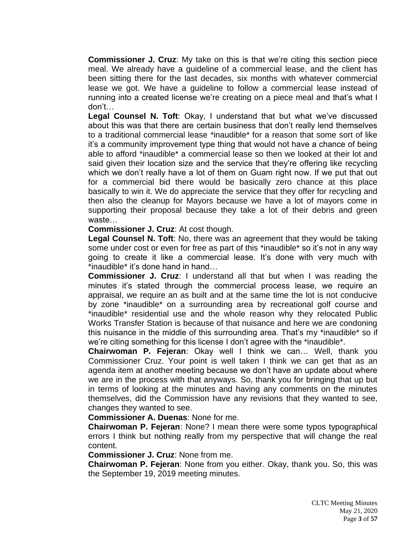**Commissioner J. Cruz**: My take on this is that we're citing this section piece meal. We already have a guideline of a commercial lease, and the client has been sitting there for the last decades, six months with whatever commercial lease we got. We have a guideline to follow a commercial lease instead of running into a created license we're creating on a piece meal and that's what I don't…

**Legal Counsel N. Toft**: Okay, I understand that but what we've discussed about this was that there are certain business that don't really lend themselves to a traditional commercial lease \*inaudible\* for a reason that some sort of like it's a community improvement type thing that would not have a chance of being able to afford \*inaudible\* a commercial lease so then we looked at their lot and said given their location size and the service that they're offering like recycling which we don't really have a lot of them on Guam right now. If we put that out for a commercial bid there would be basically zero chance at this place basically to win it. We do appreciate the service that they offer for recycling and then also the cleanup for Mayors because we have a lot of mayors come in supporting their proposal because they take a lot of their debris and green waste…

**Commissioner J. Cruz**: At cost though.

**Legal Counsel N. Toft**: No, there was an agreement that they would be taking some under cost or even for free as part of this \*inaudible\* so it's not in any way going to create it like a commercial lease. It's done with very much with \*inaudible\* it's done hand in hand…

**Commissioner J. Cruz**: I understand all that but when I was reading the minutes it's stated through the commercial process lease, we require an appraisal, we require an as built and at the same time the lot is not conducive by zone \*inaudible\* on a surrounding area by recreational golf course and \*inaudible\* residential use and the whole reason why they relocated Public Works Transfer Station is because of that nuisance and here we are condoning this nuisance in the middle of this surrounding area. That's my \*inaudible\* so if we're citing something for this license I don't agree with the \*inaudible\*.

**Chairwoman P. Fejeran**: Okay well I think we can… Well, thank you Commissioner Cruz. Your point is well taken I think we can get that as an agenda item at another meeting because we don't have an update about where we are in the process with that anyways. So, thank you for bringing that up but in terms of looking at the minutes and having any comments on the minutes themselves, did the Commission have any revisions that they wanted to see, changes they wanted to see.

**Commissioner A. Duenas**: None for me.

**Chairwoman P. Fejeran**: None? I mean there were some typos typographical errors I think but nothing really from my perspective that will change the real content.

**Commissioner J. Cruz**: None from me.

**Chairwoman P. Fejeran**: None from you either. Okay, thank you. So, this was the September 19, 2019 meeting minutes.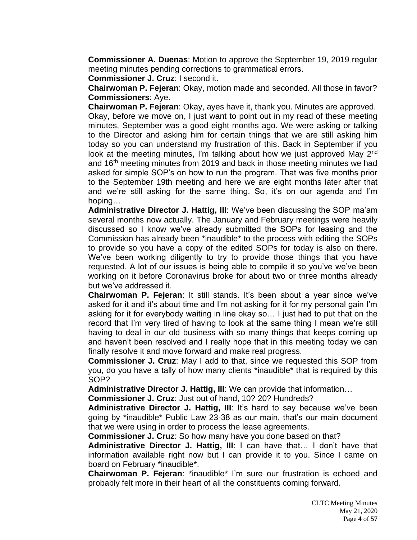**Commissioner A. Duenas**: Motion to approve the September 19, 2019 regular meeting minutes pending corrections to grammatical errors.

**Commissioner J. Cruz**: I second it.

**Chairwoman P. Fejeran**: Okay, motion made and seconded. All those in favor? **Commissioners**: Aye.

**Chairwoman P. Fejeran**: Okay, ayes have it, thank you. Minutes are approved. Okay, before we move on, I just want to point out in my read of these meeting minutes, September was a good eight months ago. We were asking or talking to the Director and asking him for certain things that we are still asking him today so you can understand my frustration of this. Back in September if you look at the meeting minutes, I'm talking about how we just approved May 2<sup>nd</sup> and 16<sup>th</sup> meeting minutes from 2019 and back in those meeting minutes we had asked for simple SOP's on how to run the program. That was five months prior to the September 19th meeting and here we are eight months later after that and we're still asking for the same thing. So, it's on our agenda and I'm hoping…

**Administrative Director J. Hattig, III**: We've been discussing the SOP ma'am several months now actually. The January and February meetings were heavily discussed so I know we've already submitted the SOPs for leasing and the Commission has already been \*inaudible\* to the process with editing the SOPs to provide so you have a copy of the edited SOPs for today is also on there. We've been working diligently to try to provide those things that you have requested. A lot of our issues is being able to compile it so you've we've been working on it before Coronavirus broke for about two or three months already but we've addressed it.

**Chairwoman P. Fejeran**: It still stands. It's been about a year since we've asked for it and it's about time and I'm not asking for it for my personal gain I'm asking for it for everybody waiting in line okay so… I just had to put that on the record that I'm very tired of having to look at the same thing I mean we're still having to deal in our old business with so many things that keeps coming up and haven't been resolved and I really hope that in this meeting today we can finally resolve it and move forward and make real progress.

**Commissioner J. Cruz**: May I add to that, since we requested this SOP from you, do you have a tally of how many clients \*inaudible\* that is required by this SOP?

**Administrative Director J. Hattig, III**: We can provide that information…

**Commissioner J. Cruz**: Just out of hand, 10? 20? Hundreds?

**Administrative Director J. Hattig, III**: It's hard to say because we've been going by \*inaudible\* Public Law 23-38 as our main, that's our main document that we were using in order to process the lease agreements.

**Commissioner J. Cruz**: So how many have you done based on that?

**Administrative Director J. Hattig, III**: I can have that… I don't have that information available right now but I can provide it to you. Since I came on board on February \*inaudible\*.

**Chairwoman P. Fejeran**: \*inaudible\* I'm sure our frustration is echoed and probably felt more in their heart of all the constituents coming forward.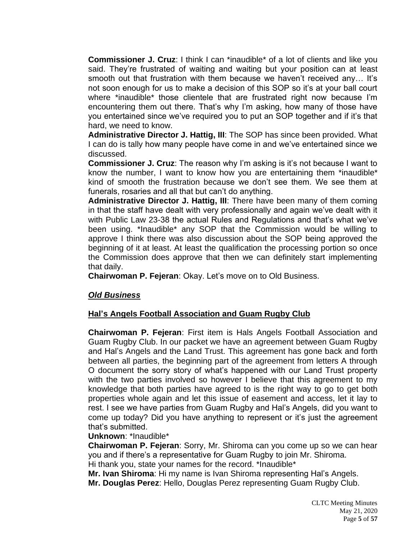**Commissioner J. Cruz**: I think I can \*inaudible\* of a lot of clients and like you said. They're frustrated of waiting and waiting but your position can at least smooth out that frustration with them because we haven't received any… It's not soon enough for us to make a decision of this SOP so it's at your ball court where \*inaudible\* those clientele that are frustrated right now because I'm encountering them out there. That's why I'm asking, how many of those have you entertained since we've required you to put an SOP together and if it's that hard, we need to know.

**Administrative Director J. Hattig, III**: The SOP has since been provided. What I can do is tally how many people have come in and we've entertained since we discussed.

**Commissioner J. Cruz**: The reason why I'm asking is it's not because I want to know the number, I want to know how you are entertaining them \*inaudible\* kind of smooth the frustration because we don't see them. We see them at funerals, rosaries and all that but can't do anything.

**Administrative Director J. Hattig, III**: There have been many of them coming in that the staff have dealt with very professionally and again we've dealt with it with Public Law 23-38 the actual Rules and Regulations and that's what we've been using. \*Inaudible\* any SOP that the Commission would be willing to approve I think there was also discussion about the SOP being approved the beginning of it at least. At least the qualification the processing portion so once the Commission does approve that then we can definitely start implementing that daily.

**Chairwoman P. Fejeran**: Okay. Let's move on to Old Business.

## *Old Business*

## **Hal's Angels Football Association and Guam Rugby Club**

**Chairwoman P. Fejeran**: First item is Hals Angels Football Association and Guam Rugby Club. In our packet we have an agreement between Guam Rugby and Hal's Angels and the Land Trust. This agreement has gone back and forth between all parties, the beginning part of the agreement from letters A through O document the sorry story of what's happened with our Land Trust property with the two parties involved so however I believe that this agreement to my knowledge that both parties have agreed to is the right way to go to get both properties whole again and let this issue of easement and access, let it lay to rest. I see we have parties from Guam Rugby and Hal's Angels, did you want to come up today? Did you have anything to represent or it's just the agreement that's submitted.

## **Unknown**: \*Inaudible\*

**Chairwoman P. Fejeran**: Sorry, Mr. Shiroma can you come up so we can hear you and if there's a representative for Guam Rugby to join Mr. Shiroma.

Hi thank you, state your names for the record. \*Inaudible\*

**Mr. Ivan Shiroma**: Hi my name is Ivan Shiroma representing Hal's Angels. **Mr. Douglas Perez**: Hello, Douglas Perez representing Guam Rugby Club.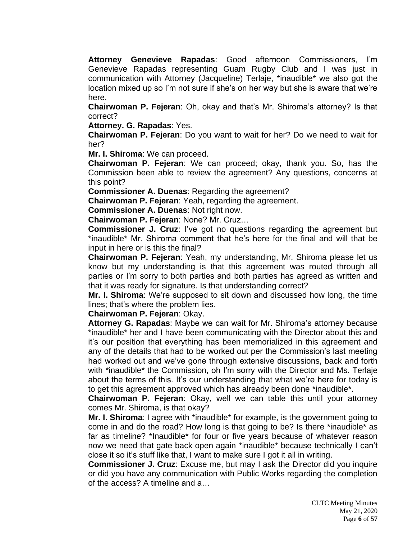**Attorney Genevieve Rapadas**: Good afternoon Commissioners, I'm Genevieve Rapadas representing Guam Rugby Club and I was just in communication with Attorney (Jacqueline) Terlaje, \*inaudible\* we also got the location mixed up so I'm not sure if she's on her way but she is aware that we're here.

**Chairwoman P. Fejeran**: Oh, okay and that's Mr. Shiroma's attorney? Is that correct?

**Attorney. G. Rapadas**: Yes.

**Chairwoman P. Fejeran**: Do you want to wait for her? Do we need to wait for her?

**Mr. I. Shiroma**: We can proceed.

**Chairwoman P. Fejeran**: We can proceed; okay, thank you. So, has the Commission been able to review the agreement? Any questions, concerns at this point?

**Commissioner A. Duenas**: Regarding the agreement?

**Chairwoman P. Fejeran**: Yeah, regarding the agreement.

**Commissioner A. Duenas**: Not right now.

**Chairwoman P. Fejeran**: None? Mr. Cruz…

**Commissioner J. Cruz**: I've got no questions regarding the agreement but \*inaudible\* Mr. Shiroma comment that he's here for the final and will that be input in here or is this the final?

**Chairwoman P. Fejeran**: Yeah, my understanding, Mr. Shiroma please let us know but my understanding is that this agreement was routed through all parties or I'm sorry to both parties and both parties has agreed as written and that it was ready for signature. Is that understanding correct?

**Mr. I. Shiroma**: We're supposed to sit down and discussed how long, the time lines; that's where the problem lies.

**Chairwoman P. Fejeran**: Okay.

**Attorney G. Rapadas**: Maybe we can wait for Mr. Shiroma's attorney because \*inaudible\* her and I have been communicating with the Director about this and it's our position that everything has been memorialized in this agreement and any of the details that had to be worked out per the Commission's last meeting had worked out and we've gone through extensive discussions, back and forth with \*inaudible\* the Commission, oh I'm sorry with the Director and Ms. Terlaje about the terms of this. It's our understanding that what we're here for today is to get this agreement approved which has already been done \*inaudible\*.

**Chairwoman P. Fejeran**: Okay, well we can table this until your attorney comes Mr. Shiroma, is that okay?

**Mr. I. Shiroma**: I agree with \*inaudible\* for example, is the government going to come in and do the road? How long is that going to be? Is there \*inaudible\* as far as timeline? \*Inaudible\* for four or five years because of whatever reason now we need that gate back open again \*inaudible\* because technically I can't close it so it's stuff like that, I want to make sure I got it all in writing.

**Commissioner J. Cruz**: Excuse me, but may I ask the Director did you inquire or did you have any communication with Public Works regarding the completion of the access? A timeline and a…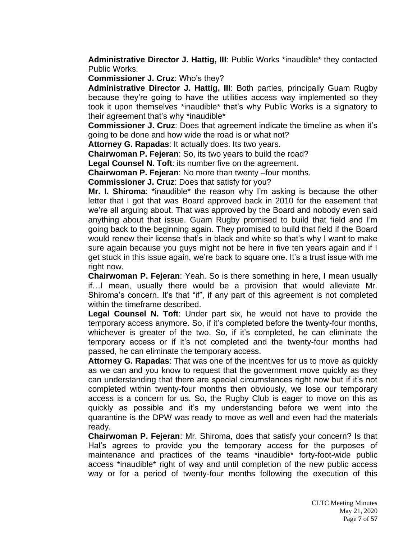**Administrative Director J. Hattig, III**: Public Works \*inaudible\* they contacted Public Works.

**Commissioner J. Cruz**: Who's they?

**Administrative Director J. Hattig, III**: Both parties, principally Guam Rugby because they're going to have the utilities access way implemented so they took it upon themselves \*inaudible\* that's why Public Works is a signatory to their agreement that's why \*inaudible\*

**Commissioner J. Cruz**: Does that agreement indicate the timeline as when it's going to be done and how wide the road is or what not?

**Attorney G. Rapadas**: It actually does. Its two years.

**Chairwoman P. Fejeran**: So, its two years to build the road?

**Legal Counsel N. Toft**: its number five on the agreement.

**Chairwoman P. Fejeran**: No more than twenty –four months.

**Commissioner J. Cruz**: Does that satisfy for you?

**Mr. I. Shiroma**: \*inaudible\* the reason why I'm asking is because the other letter that I got that was Board approved back in 2010 for the easement that we're all arguing about. That was approved by the Board and nobody even said anything about that issue. Guam Rugby promised to build that field and I'm going back to the beginning again. They promised to build that field if the Board would renew their license that's in black and white so that's why I want to make sure again because you guys might not be here in five ten years again and if I get stuck in this issue again, we're back to square one. It's a trust issue with me right now.

**Chairwoman P. Fejeran**: Yeah. So is there something in here, I mean usually if…I mean, usually there would be a provision that would alleviate Mr. Shiroma's concern. It's that "if", if any part of this agreement is not completed within the timeframe described.

**Legal Counsel N. Toft**: Under part six, he would not have to provide the temporary access anymore. So, if it's completed before the twenty-four months, whichever is greater of the two. So, if it's completed, he can eliminate the temporary access or if it's not completed and the twenty-four months had passed, he can eliminate the temporary access.

**Attorney G. Rapadas**: That was one of the incentives for us to move as quickly as we can and you know to request that the government move quickly as they can understanding that there are special circumstances right now but if it's not completed within twenty-four months then obviously, we lose our temporary access is a concern for us. So, the Rugby Club is eager to move on this as quickly as possible and it's my understanding before we went into the quarantine is the DPW was ready to move as well and even had the materials ready.

**Chairwoman P. Fejeran**: Mr. Shiroma, does that satisfy your concern? Is that Hal's agrees to provide you the temporary access for the purposes of maintenance and practices of the teams \*inaudible\* forty-foot-wide public access \*inaudible\* right of way and until completion of the new public access way or for a period of twenty-four months following the execution of this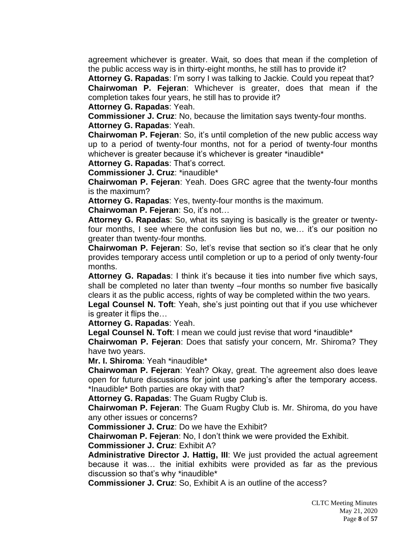agreement whichever is greater. Wait, so does that mean if the completion of the public access way is in thirty-eight months, he still has to provide it?

**Attorney G. Rapadas**: I'm sorry I was talking to Jackie. Could you repeat that? **Chairwoman P. Fejeran**: Whichever is greater, does that mean if the completion takes four years, he still has to provide it?

**Attorney G. Rapadas**: Yeah.

**Commissioner J. Cruz**: No, because the limitation says twenty-four months. **Attorney G. Rapadas**: Yeah.

**Chairwoman P. Fejeran**: So, it's until completion of the new public access way up to a period of twenty-four months, not for a period of twenty-four months whichever is greater because it's whichever is greater \*inaudible\*

**Attorney G. Rapadas**: That's correct.

**Commissioner J. Cruz**: \*inaudible\*

**Chairwoman P. Fejeran**: Yeah. Does GRC agree that the twenty-four months is the maximum?

**Attorney G. Rapadas**: Yes, twenty-four months is the maximum.

**Chairwoman P. Fejeran**: So, it's not…

**Attorney G. Rapadas**: So, what its saying is basically is the greater or twentyfour months, I see where the confusion lies but no, we… it's our position no greater than twenty-four months.

**Chairwoman P. Fejeran**: So, let's revise that section so it's clear that he only provides temporary access until completion or up to a period of only twenty-four months.

**Attorney G. Rapadas**: I think it's because it ties into number five which says, shall be completed no later than twenty –four months so number five basically clears it as the public access, rights of way be completed within the two years.

**Legal Counsel N. Toft**: Yeah, she's just pointing out that if you use whichever is greater it flips the…

**Attorney G. Rapadas**: Yeah.

**Legal Counsel N. Toft**: I mean we could just revise that word \*inaudible\* **Chairwoman P. Fejeran**: Does that satisfy your concern, Mr. Shiroma? They have two years.

**Mr. I. Shiroma**: Yeah \*inaudible\*

**Chairwoman P. Fejeran**: Yeah? Okay, great. The agreement also does leave open for future discussions for joint use parking's after the temporary access. \*Inaudible\* Both parties are okay with that?

**Attorney G. Rapadas**: The Guam Rugby Club is.

**Chairwoman P. Fejeran**: The Guam Rugby Club is. Mr. Shiroma, do you have any other issues or concerns?

**Commissioner J. Cruz**: Do we have the Exhibit?

**Chairwoman P. Fejeran**: No, I don't think we were provided the Exhibit.

**Commissioner J. Cruz**: Exhibit A?

**Administrative Director J. Hattig, III**: We just provided the actual agreement because it was… the initial exhibits were provided as far as the previous discussion so that's why \*inaudible\*

**Commissioner J. Cruz**: So, Exhibit A is an outline of the access?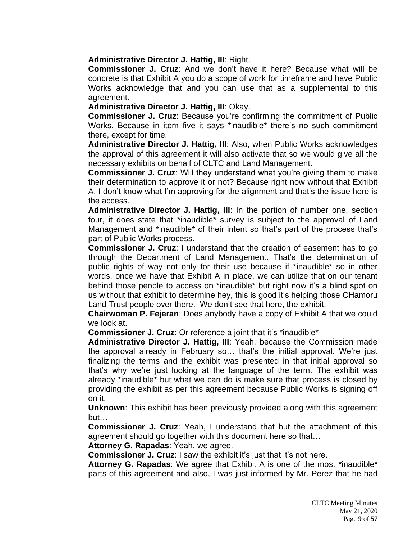**Administrative Director J. Hattig, III**: Right.

**Commissioner J. Cruz**: And we don't have it here? Because what will be concrete is that Exhibit A you do a scope of work for timeframe and have Public Works acknowledge that and you can use that as a supplemental to this agreement.

**Administrative Director J. Hattig, III**: Okay.

**Commissioner J. Cruz**: Because you're confirming the commitment of Public Works. Because in item five it says \*inaudible\* there's no such commitment there, except for time.

**Administrative Director J. Hattig, III**: Also, when Public Works acknowledges the approval of this agreement it will also activate that so we would give all the necessary exhibits on behalf of CLTC and Land Management.

**Commissioner J. Cruz**: Will they understand what you're giving them to make their determination to approve it or not? Because right now without that Exhibit A, I don't know what I'm approving for the alignment and that's the issue here is the access.

**Administrative Director J. Hattig, III**: In the portion of number one, section four, it does state that \*inaudible\* survey is subject to the approval of Land Management and \*inaudible\* of their intent so that's part of the process that's part of Public Works process.

**Commissioner J. Cruz**: I understand that the creation of easement has to go through the Department of Land Management. That's the determination of public rights of way not only for their use because if \*inaudible\* so in other words, once we have that Exhibit A in place, we can utilize that on our tenant behind those people to access on \*inaudible\* but right now it's a blind spot on us without that exhibit to determine hey, this is good it's helping those CHamoru Land Trust people over there. We don't see that here, the exhibit.

**Chairwoman P. Fejeran**: Does anybody have a copy of Exhibit A that we could we look at.

**Commissioner J. Cruz**: Or reference a joint that it's \*inaudible\*

**Administrative Director J. Hattig, III**: Yeah, because the Commission made the approval already in February so… that's the initial approval. We're just finalizing the terms and the exhibit was presented in that initial approval so that's why we're just looking at the language of the term. The exhibit was already \*inaudible\* but what we can do is make sure that process is closed by providing the exhibit as per this agreement because Public Works is signing off on it.

**Unknown**: This exhibit has been previously provided along with this agreement but…

**Commissioner J. Cruz**: Yeah, I understand that but the attachment of this agreement should go together with this document here so that…

**Attorney G. Rapadas**: Yeah, we agree.

**Commissioner J. Cruz: I saw the exhibit it's just that it's not here.** 

**Attorney G. Rapadas**: We agree that Exhibit A is one of the most \*inaudible\* parts of this agreement and also, I was just informed by Mr. Perez that he had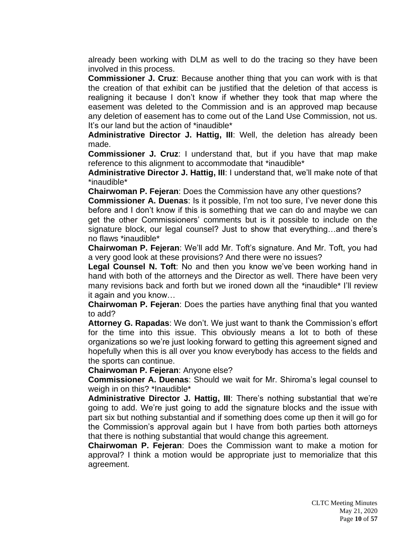already been working with DLM as well to do the tracing so they have been involved in this process.

**Commissioner J. Cruz**: Because another thing that you can work with is that the creation of that exhibit can be justified that the deletion of that access is realigning it because I don't know if whether they took that map where the easement was deleted to the Commission and is an approved map because any deletion of easement has to come out of the Land Use Commission, not us. It's our land but the action of \*inaudible\*

**Administrative Director J. Hattig, III**: Well, the deletion has already been made.

**Commissioner J. Cruz**: I understand that, but if you have that map make reference to this alignment to accommodate that \*inaudible\*

**Administrative Director J. Hattig, III**: I understand that, we'll make note of that \*inaudible\*

**Chairwoman P. Fejeran**: Does the Commission have any other questions?

**Commissioner A. Duenas**: Is it possible, I'm not too sure, I've never done this before and I don't know if this is something that we can do and maybe we can get the other Commissioners' comments but is it possible to include on the signature block, our legal counsel? Just to show that everything…and there's no flaws \*inaudible\*

**Chairwoman P. Fejeran**: We'll add Mr. Toft's signature. And Mr. Toft, you had a very good look at these provisions? And there were no issues?

**Legal Counsel N. Toft**: No and then you know we've been working hand in hand with both of the attorneys and the Director as well. There have been very many revisions back and forth but we ironed down all the \*inaudible\* I'll review it again and you know…

**Chairwoman P. Fejeran**: Does the parties have anything final that you wanted to add?

**Attorney G. Rapadas**: We don't. We just want to thank the Commission's effort for the time into this issue. This obviously means a lot to both of these organizations so we're just looking forward to getting this agreement signed and hopefully when this is all over you know everybody has access to the fields and the sports can continue.

**Chairwoman P. Fejeran**: Anyone else?

**Commissioner A. Duenas**: Should we wait for Mr. Shiroma's legal counsel to weigh in on this? \*Inaudible\*

**Administrative Director J. Hattig, III**: There's nothing substantial that we're going to add. We're just going to add the signature blocks and the issue with part six but nothing substantial and if something does come up then it will go for the Commission's approval again but I have from both parties both attorneys that there is nothing substantial that would change this agreement.

**Chairwoman P. Fejeran**: Does the Commission want to make a motion for approval? I think a motion would be appropriate just to memorialize that this agreement.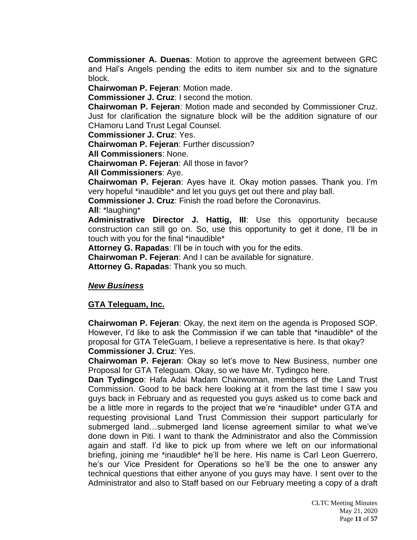**Commissioner A. Duenas**: Motion to approve the agreement between GRC and Hal's Angels pending the edits to item number six and to the signature block.

**Chairwoman P. Fejeran**: Motion made.

**Commissioner J. Cruz**: I second the motion.

**Chairwoman P. Fejeran**: Motion made and seconded by Commissioner Cruz. Just for clarification the signature block will be the addition signature of our CHamoru Land Trust Legal Counsel.

**Commissioner J. Cruz**: Yes.

**Chairwoman P. Fejeran**: Further discussion?

**All Commissioners**: None.

**Chairwoman P. Fejeran**: All those in favor?

**All Commissioners**: Aye.

**Chairwoman P. Fejeran**: Ayes have it. Okay motion passes. Thank you. I'm very hopeful \*inaudible\* and let you guys get out there and play ball.

**Commissioner J. Cruz**: Finish the road before the Coronavirus.

**All**: \*laughing\*

**Administrative Director J. Hattig, III**: Use this opportunity because construction can still go on. So, use this opportunity to get it done, I'll be in touch with you for the final \*inaudible\*

**Attorney G. Rapadas**: I'll be in touch with you for the edits.

**Chairwoman P. Fejeran**: And I can be available for signature.

**Attorney G. Rapadas**: Thank you so much.

#### *New Business*

#### **GTA Teleguam, Inc.**

**Chairwoman P. Fejeran**: Okay, the next item on the agenda is Proposed SOP. However, I'd like to ask the Commission if we can table that \*inaudible\* of the proposal for GTA TeleGuam, I believe a representative is here. Is that okay? **Commissioner J. Cruz**: Yes.

**Chairwoman P. Fejeran**: Okay so let's move to New Business, number one Proposal for GTA Teleguam. Okay, so we have Mr. Tydingco here.

**Dan Tydingco**: Hafa Adai Madam Chairwoman, members of the Land Trust Commission. Good to be back here looking at it from the last time I saw you guys back in February and as requested you guys asked us to come back and be a little more in regards to the project that we're \*inaudible\* under GTA and requesting provisional Land Trust Commission their support particularly for submerged land…submerged land license agreement similar to what we've done down in Piti. I want to thank the Administrator and also the Commission again and staff. I'd like to pick up from where we left on our informational briefing, joining me \*inaudible\* he'll be here. His name is Carl Leon Guerrero, he's our Vice President for Operations so he'll be the one to answer any technical questions that either anyone of you guys may have. I sent over to the Administrator and also to Staff based on our February meeting a copy of a draft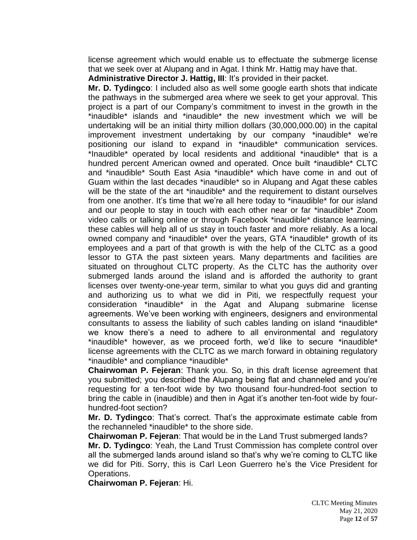license agreement which would enable us to effectuate the submerge license that we seek over at Alupang and in Agat. I think Mr. Hattig may have that.

Administrative Director J. Hattig, III: It's provided in their packet.

**Mr. D. Tydingco**: I included also as well some google earth shots that indicate the pathways in the submerged area where we seek to get your approval. This project is a part of our Company's commitment to invest in the growth in the \*inaudible\* islands and \*inaudible\* the new investment which we will be undertaking will be an initial thirty million dollars (30,000,000.00) in the capital improvement investment undertaking by our company \*inaudible\* we're positioning our island to expand in \*inaudible\* communication services. \*Inaudible\* operated by local residents and additional \*inaudible\* that is a hundred percent American owned and operated. Once built \*inaudible\* CLTC and \*inaudible\* South East Asia \*inaudible\* which have come in and out of Guam within the last decades \*inaudible\* so in Alupang and Agat these cables will be the state of the art \*inaudible\* and the requirement to distant ourselves from one another. It's time that we're all here today to \*inaudible\* for our island and our people to stay in touch with each other near or far \*inaudible\* Zoom video calls or talking online or through Facebook \*inaudible\* distance learning, these cables will help all of us stay in touch faster and more reliably. As a local owned company and \*inaudible\* over the years, GTA \*inaudible\* growth of its employees and a part of that growth is with the help of the CLTC as a good lessor to GTA the past sixteen years. Many departments and facilities are situated on throughout CLTC property. As the CLTC has the authority over submerged lands around the island and is afforded the authority to grant licenses over twenty-one-year term, similar to what you guys did and granting and authorizing us to what we did in Piti, we respectfully request your consideration \*inaudible\* in the Agat and Alupang submarine license agreements. We've been working with engineers, designers and environmental consultants to assess the liability of such cables landing on island \*inaudible\* we know there's a need to adhere to all environmental and regulatory \*inaudible\* however, as we proceed forth, we'd like to secure \*inaudible\* license agreements with the CLTC as we march forward in obtaining regulatory \*inaudible\* and compliance \*inaudible\*

**Chairwoman P. Fejeran**: Thank you. So, in this draft license agreement that you submitted; you described the Alupang being flat and channeled and you're requesting for a ten-foot wide by two thousand four-hundred-foot section to bring the cable in (inaudible) and then in Agat it's another ten-foot wide by fourhundred-foot section?

**Mr. D. Tydingco**: That's correct. That's the approximate estimate cable from the rechanneled \*inaudible\* to the shore side.

**Chairwoman P. Fejeran**: That would be in the Land Trust submerged lands? **Mr. D. Tydingco**: Yeah, the Land Trust Commission has complete control over all the submerged lands around island so that's why we're coming to CLTC like we did for Piti. Sorry, this is Carl Leon Guerrero he's the Vice President for Operations.

**Chairwoman P. Fejeran**: Hi.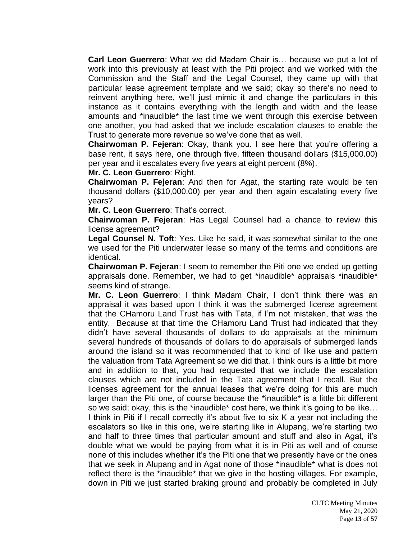**Carl Leon Guerrero**: What we did Madam Chair is… because we put a lot of work into this previously at least with the Piti project and we worked with the Commission and the Staff and the Legal Counsel, they came up with that particular lease agreement template and we said; okay so there's no need to reinvent anything here, we'll just mimic it and change the particulars in this instance as it contains everything with the length and width and the lease amounts and \*inaudible\* the last time we went through this exercise between one another, you had asked that we include escalation clauses to enable the Trust to generate more revenue so we've done that as well.

**Chairwoman P. Fejeran**: Okay, thank you. I see here that you're offering a base rent, it says here, one through five, fifteen thousand dollars (\$15,000.00) per year and it escalates every five years at eight percent (8%).

#### **Mr. C. Leon Guerrero**: Right.

**Chairwoman P. Fejeran**: And then for Agat, the starting rate would be ten thousand dollars (\$10,000.00) per year and then again escalating every five years?

**Mr. C. Leon Guerrero**: That's correct.

**Chairwoman P. Fejeran**: Has Legal Counsel had a chance to review this license agreement?

**Legal Counsel N. Toft**: Yes. Like he said, it was somewhat similar to the one we used for the Piti underwater lease so many of the terms and conditions are identical.

**Chairwoman P. Fejeran**: I seem to remember the Piti one we ended up getting appraisals done. Remember, we had to get \*inaudible\* appraisals \*inaudible\* seems kind of strange.

**Mr. C. Leon Guerrero**: I think Madam Chair, I don't think there was an appraisal it was based upon I think it was the submerged license agreement that the CHamoru Land Trust has with Tata, if I'm not mistaken, that was the entity. Because at that time the CHamoru Land Trust had indicated that they didn't have several thousands of dollars to do appraisals at the minimum several hundreds of thousands of dollars to do appraisals of submerged lands around the island so it was recommended that to kind of like use and pattern the valuation from Tata Agreement so we did that. I think ours is a little bit more and in addition to that, you had requested that we include the escalation clauses which are not included in the Tata agreement that I recall. But the licenses agreement for the annual leases that we're doing for this are much larger than the Piti one, of course because the \*inaudible\* is a little bit different so we said; okay, this is the \*inaudible\* cost here, we think it's going to be like… I think in Piti if I recall correctly it's about five to six K a year not including the escalators so like in this one, we're starting like in Alupang, we're starting two and half to three times that particular amount and stuff and also in Agat, it's double what we would be paying from what it is in Piti as well and of course none of this includes whether it's the Piti one that we presently have or the ones that we seek in Alupang and in Agat none of those \*inaudible\* what is does not reflect there is the \*inaudible\* that we give in the hosting villages. For example, down in Piti we just started braking ground and probably be completed in July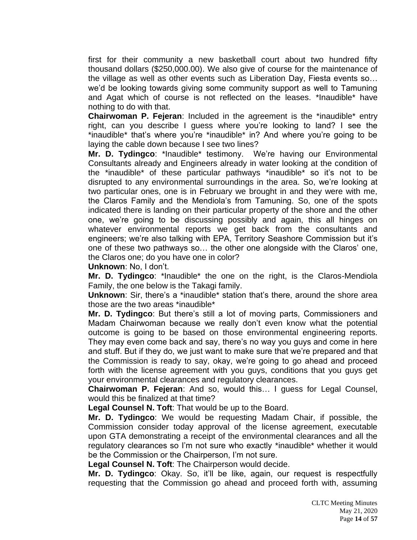first for their community a new basketball court about two hundred fifty thousand dollars (\$250,000.00). We also give of course for the maintenance of the village as well as other events such as Liberation Day, Fiesta events so… we'd be looking towards giving some community support as well to Tamuning and Agat which of course is not reflected on the leases. \*Inaudible\* have nothing to do with that.

**Chairwoman P. Fejeran**: Included in the agreement is the \*inaudible\* entry right, can you describe I guess where you're looking to land? I see the \*inaudible\* that's where you're \*inaudible\* in? And where you're going to be laying the cable down because I see two lines?

**Mr. D. Tydingco**: \*Inaudible\* testimony. We're having our Environmental Consultants already and Engineers already in water looking at the condition of the \*inaudible\* of these particular pathways \*inaudible\* so it's not to be disrupted to any environmental surroundings in the area. So, we're looking at two particular ones, one is in February we brought in and they were with me, the Claros Family and the Mendiola's from Tamuning. So, one of the spots indicated there is landing on their particular property of the shore and the other one, we're going to be discussing possibly and again, this all hinges on whatever environmental reports we get back from the consultants and engineers; we're also talking with EPA, Territory Seashore Commission but it's one of these two pathways so… the other one alongside with the Claros' one, the Claros one; do you have one in color?

**Unknown**: No, I don't.

**Mr. D. Tydingco**: \*Inaudible\* the one on the right, is the Claros-Mendiola Family, the one below is the Takagi family.

**Unknown**: Sir, there's a \*inaudible\* station that's there, around the shore area those are the two areas \*inaudible\*

**Mr. D. Tydingco**: But there's still a lot of moving parts, Commissioners and Madam Chairwoman because we really don't even know what the potential outcome is going to be based on those environmental engineering reports. They may even come back and say, there's no way you guys and come in here and stuff. But if they do, we just want to make sure that we're prepared and that the Commission is ready to say, okay, we're going to go ahead and proceed forth with the license agreement with you guys, conditions that you guys get your environmental clearances and regulatory clearances.

**Chairwoman P. Fejeran**: And so, would this… I guess for Legal Counsel, would this be finalized at that time?

**Legal Counsel N. Toft**: That would be up to the Board.

**Mr. D. Tydingco**: We would be requesting Madam Chair, if possible, the Commission consider today approval of the license agreement, executable upon GTA demonstrating a receipt of the environmental clearances and all the regulatory clearances so I'm not sure who exactly \*inaudible\* whether it would be the Commission or the Chairperson, I'm not sure.

**Legal Counsel N. Toft**: The Chairperson would decide.

**Mr. D. Tydingco**: Okay. So, it'll be like, again, our request is respectfully requesting that the Commission go ahead and proceed forth with, assuming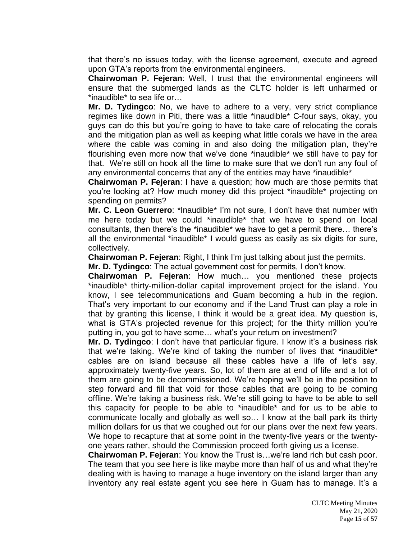that there's no issues today, with the license agreement, execute and agreed upon GTA's reports from the environmental engineers.

**Chairwoman P. Fejeran**: Well, I trust that the environmental engineers will ensure that the submerged lands as the CLTC holder is left unharmed or \*inaudible\* to sea life or…

**Mr. D. Tydingco**: No, we have to adhere to a very, very strict compliance regimes like down in Piti, there was a little \*inaudible\* C-four says, okay, you guys can do this but you're going to have to take care of relocating the corals and the mitigation plan as well as keeping what little corals we have in the area where the cable was coming in and also doing the mitigation plan, they're flourishing even more now that we've done \*inaudible\* we still have to pay for that. We're still on hook all the time to make sure that we don't run any foul of any environmental concerns that any of the entities may have \*inaudible\*

**Chairwoman P. Fejeran**: I have a question; how much are those permits that you're looking at? How much money did this project \*inaudible\* projecting on spending on permits?

**Mr. C. Leon Guerrero**: \*Inaudible\* I'm not sure, I don't have that number with me here today but we could \*inaudible\* that we have to spend on local consultants, then there's the \*inaudible\* we have to get a permit there… there's all the environmental \*inaudible\* I would guess as easily as six digits for sure, collectively.

**Chairwoman P. Fejeran**: Right, I think I'm just talking about just the permits. **Mr. D. Tydingco**: The actual government cost for permits, I don't know.

**Chairwoman P. Fejeran**: How much… you mentioned these projects \*inaudible\* thirty-million-dollar capital improvement project for the island. You know, I see telecommunications and Guam becoming a hub in the region. That's very important to our economy and if the Land Trust can play a role in that by granting this license, I think it would be a great idea. My question is, what is GTA's projected revenue for this project; for the thirty million you're putting in, you got to have some… what's your return on investment?

**Mr. D. Tydingco**: I don't have that particular figure. I know it's a business risk that we're taking. We're kind of taking the number of lives that \*inaudible\* cables are on island because all these cables have a life of let's say, approximately twenty-five years. So, lot of them are at end of life and a lot of them are going to be decommissioned. We're hoping we'll be in the position to step forward and fill that void for those cables that are going to be coming offline. We're taking a business risk. We're still going to have to be able to sell this capacity for people to be able to \*inaudible\* and for us to be able to communicate locally and globally as well so… I know at the ball park its thirty million dollars for us that we coughed out for our plans over the next few years. We hope to recapture that at some point in the twenty-five years or the twentyone years rather, should the Commission proceed forth giving us a license.

**Chairwoman P. Fejeran**: You know the Trust is…we're land rich but cash poor. The team that you see here is like maybe more than half of us and what they're dealing with is having to manage a huge inventory on the island larger than any inventory any real estate agent you see here in Guam has to manage. It's a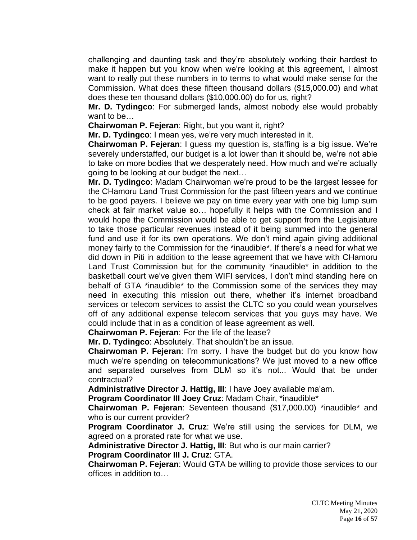challenging and daunting task and they're absolutely working their hardest to make it happen but you know when we're looking at this agreement, I almost want to really put these numbers in to terms to what would make sense for the Commission. What does these fifteen thousand dollars (\$15,000.00) and what does these ten thousand dollars (\$10,000.00) do for us, right?

**Mr. D. Tydingco**: For submerged lands, almost nobody else would probably want to be…

**Chairwoman P. Fejeran**: Right, but you want it, right?

**Mr. D. Tydingco**: I mean yes, we're very much interested in it.

**Chairwoman P. Fejeran**: I guess my question is, staffing is a big issue. We're severely understaffed, our budget is a lot lower than it should be, we're not able to take on more bodies that we desperately need. How much and we're actually going to be looking at our budget the next…

**Mr. D. Tydingco**: Madam Chairwoman we're proud to be the largest lessee for the CHamoru Land Trust Commission for the past fifteen years and we continue to be good payers. I believe we pay on time every year with one big lump sum check at fair market value so… hopefully it helps with the Commission and I would hope the Commission would be able to get support from the Legislature to take those particular revenues instead of it being summed into the general fund and use it for its own operations. We don't mind again giving additional money fairly to the Commission for the \*inaudible\*. If there's a need for what we did down in Piti in addition to the lease agreement that we have with CHamoru Land Trust Commission but for the community \*inaudible\* in addition to the basketball court we've given them WIFI services, I don't mind standing here on behalf of GTA \*inaudible\* to the Commission some of the services they may need in executing this mission out there, whether it's internet broadband services or telecom services to assist the CLTC so you could wean yourselves off of any additional expense telecom services that you guys may have. We could include that in as a condition of lease agreement as well.

**Chairwoman P. Fejeran**: For the life of the lease?

**Mr. D. Tydingco**: Absolutely. That shouldn't be an issue.

**Chairwoman P. Fejeran**: I'm sorry. I have the budget but do you know how much we're spending on telecommunications? We just moved to a new office and separated ourselves from DLM so it's not... Would that be under contractual?

**Administrative Director J. Hattig, III**: I have Joey available ma'am.

**Program Coordinator III Joey Cruz**: Madam Chair, \*inaudible\*

**Chairwoman P. Fejeran**: Seventeen thousand (\$17,000.00) \*inaudible\* and who is our current provider?

**Program Coordinator J. Cruz**: We're still using the services for DLM, we agreed on a prorated rate for what we use.

**Administrative Director J. Hattig, III**: But who is our main carrier?

**Program Coordinator III J. Cruz**: GTA.

**Chairwoman P. Fejeran**: Would GTA be willing to provide those services to our offices in addition to…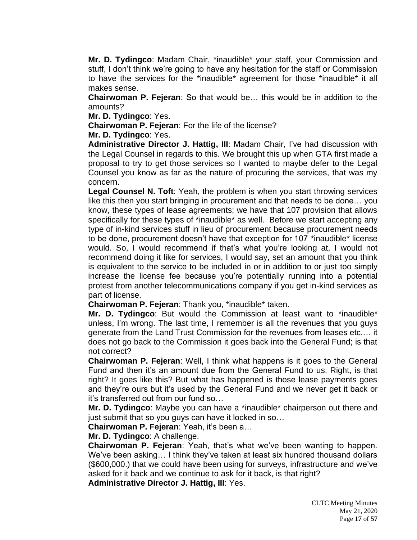**Mr. D. Tydingco**: Madam Chair, \*inaudible\* your staff, your Commission and stuff, I don't think we're going to have any hesitation for the staff or Commission to have the services for the \*inaudible\* agreement for those \*inaudible\* it all makes sense.

**Chairwoman P. Fejeran**: So that would be… this would be in addition to the amounts?

**Mr. D. Tydingco**: Yes.

**Chairwoman P. Fejeran**: For the life of the license?

**Mr. D. Tydingco**: Yes.

**Administrative Director J. Hattig, III**: Madam Chair, I've had discussion with the Legal Counsel in regards to this. We brought this up when GTA first made a proposal to try to get those services so I wanted to maybe defer to the Legal Counsel you know as far as the nature of procuring the services, that was my concern.

**Legal Counsel N. Toft**: Yeah, the problem is when you start throwing services like this then you start bringing in procurement and that needs to be done… you know, these types of lease agreements; we have that 107 provision that allows specifically for these types of \*inaudible\* as well. Before we start accepting any type of in-kind services stuff in lieu of procurement because procurement needs to be done, procurement doesn't have that exception for 107 \*inaudible\* license would. So, I would recommend if that's what you're looking at, I would not recommend doing it like for services, I would say, set an amount that you think is equivalent to the service to be included in or in addition to or just too simply increase the license fee because you're potentially running into a potential protest from another telecommunications company if you get in-kind services as part of license.

**Chairwoman P. Fejeran**: Thank you, \*inaudible\* taken.

**Mr. D. Tydingco**: But would the Commission at least want to \*inaudible\* unless, I'm wrong. The last time, I remember is all the revenues that you guys generate from the Land Trust Commission for the revenues from leases etc.… it does not go back to the Commission it goes back into the General Fund; is that not correct?

**Chairwoman P. Fejeran**: Well, I think what happens is it goes to the General Fund and then it's an amount due from the General Fund to us. Right, is that right? It goes like this? But what has happened is those lease payments goes and they're ours but it's used by the General Fund and we never get it back or it's transferred out from our fund so…

**Mr. D. Tydingco**: Maybe you can have a \*inaudible\* chairperson out there and just submit that so you guys can have it locked in so…

**Chairwoman P. Fejeran**: Yeah, it's been a…

**Mr. D. Tydingco**: A challenge.

**Chairwoman P. Fejeran**: Yeah, that's what we've been wanting to happen. We've been asking… I think they've taken at least six hundred thousand dollars (\$600,000.) that we could have been using for surveys, infrastructure and we've asked for it back and we continue to ask for it back, is that right?

**Administrative Director J. Hattig, III**: Yes.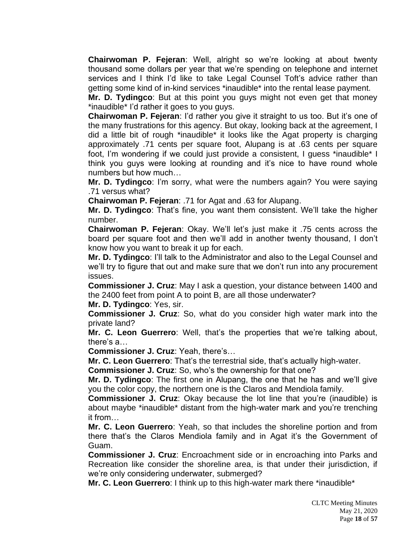**Chairwoman P. Fejeran**: Well, alright so we're looking at about twenty thousand some dollars per year that we're spending on telephone and internet services and I think I'd like to take Legal Counsel Toft's advice rather than getting some kind of in-kind services \*inaudible\* into the rental lease payment.

**Mr. D. Tydingco**: But at this point you guys might not even get that money \*inaudible\* I'd rather it goes to you guys.

**Chairwoman P. Fejeran**: I'd rather you give it straight to us too. But it's one of the many frustrations for this agency. But okay, looking back at the agreement, I did a little bit of rough \*inaudible\* it looks like the Agat property is charging approximately .71 cents per square foot, Alupang is at .63 cents per square foot, I'm wondering if we could just provide a consistent, I guess \*inaudible\* I think you guys were looking at rounding and it's nice to have round whole numbers but how much…

**Mr. D. Tydingco**: I'm sorry, what were the numbers again? You were saying .71 versus what?

**Chairwoman P. Fejeran**: .71 for Agat and .63 for Alupang.

**Mr. D. Tydingco**: That's fine, you want them consistent. We'll take the higher number.

**Chairwoman P. Fejeran**: Okay. We'll let's just make it .75 cents across the board per square foot and then we'll add in another twenty thousand, I don't know how you want to break it up for each.

**Mr. D. Tydingco**: I'll talk to the Administrator and also to the Legal Counsel and we'll try to figure that out and make sure that we don't run into any procurement issues.

**Commissioner J. Cruz**: May I ask a question, your distance between 1400 and the 2400 feet from point A to point B, are all those underwater?

**Mr. D. Tydingco**: Yes, sir.

**Commissioner J. Cruz**: So, what do you consider high water mark into the private land?

**Mr. C. Leon Guerrero**: Well, that's the properties that we're talking about, there's a…

**Commissioner J. Cruz**: Yeah, there's…

**Mr. C. Leon Guerrero**: That's the terrestrial side, that's actually high-water.

**Commissioner J. Cruz**: So, who's the ownership for that one?

**Mr. D. Tydingco**: The first one in Alupang, the one that he has and we'll give you the color copy, the northern one is the Claros and Mendiola family.

**Commissioner J. Cruz**: Okay because the lot line that you're (inaudible) is about maybe \*inaudible\* distant from the high-water mark and you're trenching it from…

**Mr. C. Leon Guerrero**: Yeah, so that includes the shoreline portion and from there that's the Claros Mendiola family and in Agat it's the Government of Guam.

**Commissioner J. Cruz**: Encroachment side or in encroaching into Parks and Recreation like consider the shoreline area, is that under their jurisdiction, if we're only considering underwater, submerged?

**Mr. C. Leon Guerrero**: I think up to this high-water mark there \*inaudible\*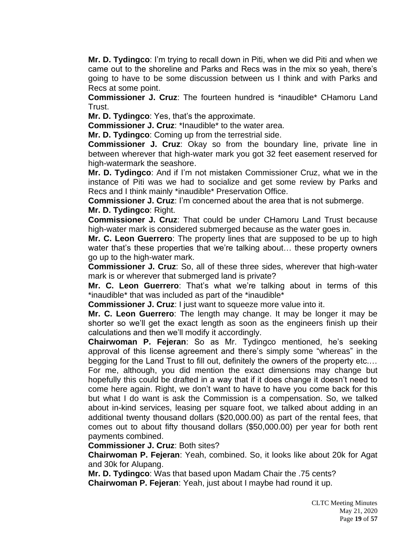**Mr. D. Tydingco**: I'm trying to recall down in Piti, when we did Piti and when we came out to the shoreline and Parks and Recs was in the mix so yeah, there's going to have to be some discussion between us I think and with Parks and Recs at some point.

**Commissioner J. Cruz**: The fourteen hundred is \*inaudible\* CHamoru Land Trust.

**Mr. D. Tydingco**: Yes, that's the approximate.

**Commissioner J. Cruz**: \*Inaudible\* to the water area.

**Mr. D. Tydingco**: Coming up from the terrestrial side.

**Commissioner J. Cruz**: Okay so from the boundary line, private line in between wherever that high-water mark you got 32 feet easement reserved for high-watermark the seashore.

**Mr. D. Tydingco**: And if I'm not mistaken Commissioner Cruz, what we in the instance of Piti was we had to socialize and get some review by Parks and Recs and I think mainly \*inaudible\* Preservation Office.

**Commissioner J. Cruz**: I'm concerned about the area that is not submerge. **Mr. D. Tydingco**: Right.

**Commissioner J. Cruz**: That could be under CHamoru Land Trust because high-water mark is considered submerged because as the water goes in.

**Mr. C. Leon Guerrero**: The property lines that are supposed to be up to high water that's these properties that we're talking about… these property owners go up to the high-water mark.

**Commissioner J. Cruz**: So, all of these three sides, wherever that high-water mark is or wherever that submerged land is private?

**Mr. C. Leon Guerrero**: That's what we're talking about in terms of this \*inaudible\* that was included as part of the \*inaudible\*

**Commissioner J. Cruz**: I just want to squeeze more value into it.

**Mr. C. Leon Guerrero**: The length may change. It may be longer it may be shorter so we'll get the exact length as soon as the engineers finish up their calculations and then we'll modify it accordingly.

**Chairwoman P. Fejeran**: So as Mr. Tydingco mentioned, he's seeking approval of this license agreement and there's simply some "whereas" in the begging for the Land Trust to fill out, definitely the owners of the property etc.…

For me, although, you did mention the exact dimensions may change but hopefully this could be drafted in a way that if it does change it doesn't need to come here again. Right, we don't want to have to have you come back for this but what I do want is ask the Commission is a compensation. So, we talked about in-kind services, leasing per square foot, we talked about adding in an additional twenty thousand dollars (\$20,000.00) as part of the rental fees, that comes out to about fifty thousand dollars (\$50,000.00) per year for both rent payments combined.

**Commissioner J. Cruz**: Both sites?

**Chairwoman P. Fejeran**: Yeah, combined. So, it looks like about 20k for Agat and 30k for Alupang.

**Mr. D. Tydingco**: Was that based upon Madam Chair the .75 cents? **Chairwoman P. Fejeran**: Yeah, just about I maybe had round it up.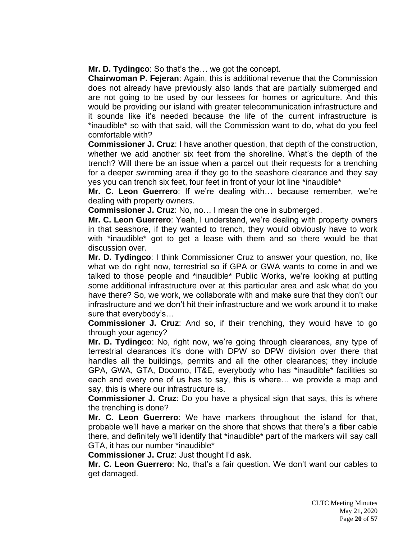**Mr. D. Tydingco**: So that's the… we got the concept.

**Chairwoman P. Fejeran**: Again, this is additional revenue that the Commission does not already have previously also lands that are partially submerged and are not going to be used by our lessees for homes or agriculture. And this would be providing our island with greater telecommunication infrastructure and it sounds like it's needed because the life of the current infrastructure is \*inaudible\* so with that said, will the Commission want to do, what do you feel comfortable with?

**Commissioner J. Cruz**: I have another question, that depth of the construction, whether we add another six feet from the shoreline. What's the depth of the trench? Will there be an issue when a parcel out their requests for a trenching for a deeper swimming area if they go to the seashore clearance and they say yes you can trench six feet, four feet in front of your lot line \*inaudible\*

**Mr. C. Leon Guerrero**: If we're dealing with… because remember, we're dealing with property owners.

**Commissioner J. Cruz**: No, no… I mean the one in submerged.

**Mr. C. Leon Guerrero**: Yeah, I understand, we're dealing with property owners in that seashore, if they wanted to trench, they would obviously have to work with \*inaudible\* got to get a lease with them and so there would be that discussion over.

**Mr. D. Tydingco**: I think Commissioner Cruz to answer your question, no, like what we do right now, terrestrial so if GPA or GWA wants to come in and we talked to those people and \*inaudible\* Public Works, we're looking at putting some additional infrastructure over at this particular area and ask what do you have there? So, we work, we collaborate with and make sure that they don't our infrastructure and we don't hit their infrastructure and we work around it to make sure that everybody's…

**Commissioner J. Cruz**: And so, if their trenching, they would have to go through your agency?

**Mr. D. Tydingco**: No, right now, we're going through clearances, any type of terrestrial clearances it's done with DPW so DPW division over there that handles all the buildings, permits and all the other clearances; they include GPA, GWA, GTA, Docomo, IT&E, everybody who has \*inaudible\* facilities so each and every one of us has to say, this is where… we provide a map and say, this is where our infrastructure is.

**Commissioner J. Cruz**: Do you have a physical sign that says, this is where the trenching is done?

**Mr. C. Leon Guerrero**: We have markers throughout the island for that, probable we'll have a marker on the shore that shows that there's a fiber cable there, and definitely we'll identify that \*inaudible\* part of the markers will say call GTA, it has our number \*inaudible\*

**Commissioner J. Cruz**: Just thought I'd ask.

**Mr. C. Leon Guerrero**: No, that's a fair question. We don't want our cables to get damaged.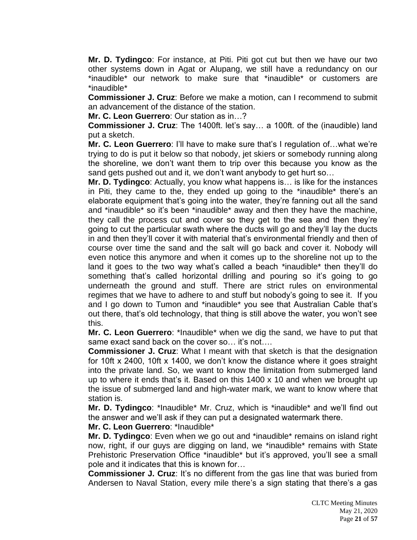**Mr. D. Tydingco**: For instance, at Piti. Piti got cut but then we have our two other systems down in Agat or Alupang, we still have a redundancy on our \*inaudible\* our network to make sure that \*inaudible\* or customers are \*inaudible\*

**Commissioner J. Cruz**: Before we make a motion, can I recommend to submit an advancement of the distance of the station.

**Mr. C. Leon Guerrero**: Our station as in…?

**Commissioner J. Cruz**: The 1400ft. let's say… a 100ft. of the (inaudible) land put a sketch.

**Mr. C. Leon Guerrero**: I'll have to make sure that's I regulation of…what we're trying to do is put it below so that nobody, jet skiers or somebody running along the shoreline, we don't want them to trip over this because you know as the sand gets pushed out and it, we don't want anybody to get hurt so…

**Mr. D. Tydingco**: Actually, you know what happens is… is like for the instances in Piti, they came to the, they ended up going to the \*inaudible\* there's an elaborate equipment that's going into the water, they're fanning out all the sand and \*inaudible\* so it's been \*inaudible\* away and then they have the machine, they call the process cut and cover so they get to the sea and then they're going to cut the particular swath where the ducts will go and they'll lay the ducts in and then they'll cover it with material that's environmental friendly and then of course over time the sand and the salt will go back and cover it. Nobody will even notice this anymore and when it comes up to the shoreline not up to the land it goes to the two way what's called a beach \*inaudible\* then they'll do something that's called horizontal drilling and pouring so it's going to go underneath the ground and stuff. There are strict rules on environmental regimes that we have to adhere to and stuff but nobody's going to see it. If you and I go down to Tumon and \*inaudible\* you see that Australian Cable that's out there, that's old technology, that thing is still above the water, you won't see this.

**Mr. C. Leon Guerrero**: \*Inaudible\* when we dig the sand, we have to put that same exact sand back on the cover so... it's not....

**Commissioner J. Cruz**: What I meant with that sketch is that the designation for 10ft x 2400, 10ft x 1400, we don't know the distance where it goes straight into the private land. So, we want to know the limitation from submerged land up to where it ends that's it. Based on this 1400 x 10 and when we brought up the issue of submerged land and high-water mark, we want to know where that station is.

**Mr. D. Tydingco**: \*Inaudible\* Mr. Cruz, which is \*inaudible\* and we'll find out the answer and we'll ask if they can put a designated watermark there.

**Mr. C. Leon Guerrero**: \*Inaudible\*

**Mr. D. Tydingco**: Even when we go out and \*inaudible\* remains on island right now, right, if our guys are digging on land, we \*inaudible\* remains with State Prehistoric Preservation Office \*inaudible\* but it's approved, you'll see a small pole and it indicates that this is known for…

**Commissioner J. Cruz**: It's no different from the gas line that was buried from Andersen to Naval Station, every mile there's a sign stating that there's a gas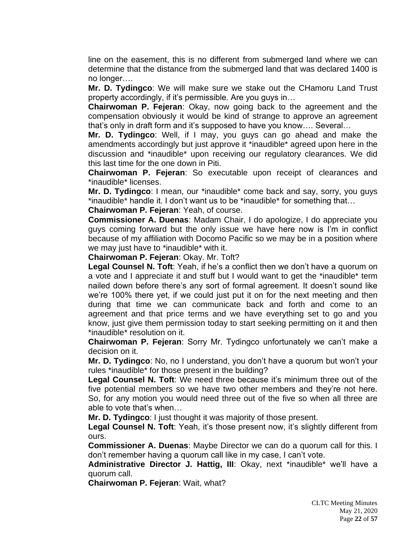line on the easement, this is no different from submerged land where we can determine that the distance from the submerged land that was declared 1400 is no longer….

**Mr. D. Tydingco**: We will make sure we stake out the CHamoru Land Trust property accordingly, if it's permissible. Are you guys in…

**Chairwoman P. Fejeran**: Okay, now going back to the agreement and the compensation obviously it would be kind of strange to approve an agreement that's only in draft form and it's supposed to have you know…. Several…

**Mr. D. Tydingco**: Well, if I may, you guys can go ahead and make the amendments accordingly but just approve it \*inaudible\* agreed upon here in the discussion and \*inaudible\* upon receiving our regulatory clearances. We did this last time for the one down in Piti.

**Chairwoman P. Fejeran**: So executable upon receipt of clearances and \*inaudible\* licenses.

**Mr. D. Tydingco**: I mean, our \*inaudible\* come back and say, sorry, you guys \*inaudible\* handle it. I don't want us to be \*inaudible\* for something that…

**Chairwoman P. Fejeran**: Yeah, of course.

**Commissioner A. Duenas**: Madam Chair, I do apologize, I do appreciate you guys coming forward but the only issue we have here now is I'm in conflict because of my affiliation with Docomo Pacific so we may be in a position where we may just have to \*inaudible\* with it.

**Chairwoman P. Fejeran**: Okay. Mr. Toft?

**Legal Counsel N. Toft**: Yeah, if he's a conflict then we don't have a quorum on a vote and I appreciate it and stuff but I would want to get the \*inaudible\* term nailed down before there's any sort of formal agreement. It doesn't sound like we're 100% there yet, if we could just put it on for the next meeting and then during that time we can communicate back and forth and come to an agreement and that price terms and we have everything set to go and you know, just give them permission today to start seeking permitting on it and then \*inaudible\* resolution on it.

**Chairwoman P. Fejeran**: Sorry Mr. Tydingco unfortunately we can't make a decision on it.

**Mr. D. Tydingco**: No, no I understand, you don't have a quorum but won't your rules \*inaudible\* for those present in the building?

**Legal Counsel N. Toft**: We need three because it's minimum three out of the five potential members so we have two other members and they're not here. So, for any motion you would need three out of the five so when all three are able to vote that's when…

**Mr. D. Tydingco**: I just thought it was majority of those present.

**Legal Counsel N. Toft**: Yeah, it's those present now, it's slightly different from ours.

**Commissioner A. Duenas**: Maybe Director we can do a quorum call for this. I don't remember having a quorum call like in my case, I can't vote.

**Administrative Director J. Hattig, III**: Okay, next \*inaudible\* we'll have a quorum call.

**Chairwoman P. Fejeran**: Wait, what?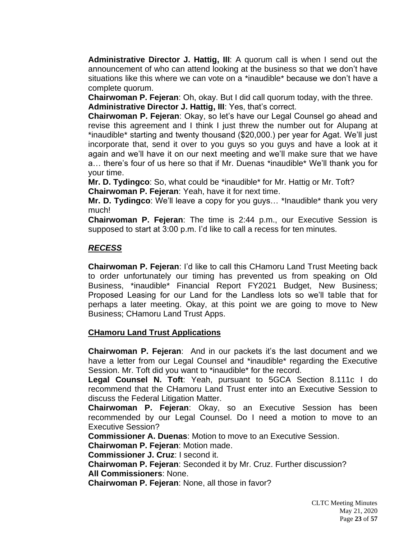**Administrative Director J. Hattig, III**: A quorum call is when I send out the announcement of who can attend looking at the business so that we don't have situations like this where we can vote on a \*inaudible\* because we don't have a complete quorum.

**Chairwoman P. Fejeran**: Oh, okay. But I did call quorum today, with the three. **Administrative Director J. Hattig, III**: Yes, that's correct.

**Chairwoman P. Fejeran**: Okay, so let's have our Legal Counsel go ahead and revise this agreement and I think I just threw the number out for Alupang at \*inaudible\* starting and twenty thousand (\$20,000.) per year for Agat. We'll just incorporate that, send it over to you guys so you guys and have a look at it again and we'll have it on our next meeting and we'll make sure that we have a… there's four of us here so that if Mr. Duenas \*inaudible\* We'll thank you for your time.

**Mr. D. Tydingco**: So, what could be \*inaudible\* for Mr. Hattig or Mr. Toft? **Chairwoman P. Fejeran**: Yeah, have it for next time.

**Mr. D. Tydingco**: We'll leave a copy for you guys… \*Inaudible\* thank you very much!

**Chairwoman P. Fejeran**: The time is 2:44 p.m., our Executive Session is supposed to start at 3:00 p.m. I'd like to call a recess for ten minutes.

# *RECESS*

**Chairwoman P. Fejeran**: I'd like to call this CHamoru Land Trust Meeting back to order unfortunately our timing has prevented us from speaking on Old Business, \*inaudible\* Financial Report FY2021 Budget, New Business; Proposed Leasing for our Land for the Landless lots so we'll table that for perhaps a later meeting. Okay, at this point we are going to move to New Business; CHamoru Land Trust Apps.

## **CHamoru Land Trust Applications**

**Chairwoman P. Fejeran**: And in our packets it's the last document and we have a letter from our Legal Counsel and \*inaudible\* regarding the Executive Session. Mr. Toft did you want to \*inaudible\* for the record.

**Legal Counsel N. Toft**: Yeah, pursuant to 5GCA Section 8.111c I do recommend that the CHamoru Land Trust enter into an Executive Session to discuss the Federal Litigation Matter.

**Chairwoman P. Fejeran**: Okay, so an Executive Session has been recommended by our Legal Counsel. Do I need a motion to move to an Executive Session?

**Commissioner A. Duenas**: Motion to move to an Executive Session.

**Chairwoman P. Fejeran**: Motion made.

**Commissioner J. Cruz**: I second it.

**Chairwoman P. Fejeran**: Seconded it by Mr. Cruz. Further discussion?

**All Commissioners**: None.

**Chairwoman P. Fejeran**: None, all those in favor?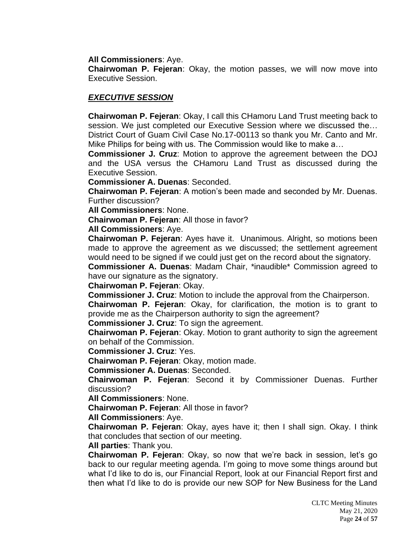**All Commissioners**: Aye.

**Chairwoman P. Fejeran**: Okay, the motion passes, we will now move into Executive Session.

# *EXECUTIVE SESSION*

**Chairwoman P. Fejeran**: Okay, I call this CHamoru Land Trust meeting back to session. We just completed our Executive Session where we discussed the… District Court of Guam Civil Case No.17-00113 so thank you Mr. Canto and Mr. Mike Philips for being with us. The Commission would like to make a…

**Commissioner J. Cruz**: Motion to approve the agreement between the DOJ and the USA versus the CHamoru Land Trust as discussed during the Executive Session.

**Commissioner A. Duenas**: Seconded.

**Chairwoman P. Fejeran**: A motion's been made and seconded by Mr. Duenas. Further discussion?

**All Commissioners**: None.

**Chairwoman P. Fejeran**: All those in favor?

**All Commissioners**: Aye.

**Chairwoman P. Fejeran**: Ayes have it. Unanimous. Alright, so motions been made to approve the agreement as we discussed; the settlement agreement would need to be signed if we could just get on the record about the signatory.

**Commissioner A. Duenas**: Madam Chair, \*inaudible\* Commission agreed to have our signature as the signatory.

**Chairwoman P. Fejeran**: Okay.

**Commissioner J. Cruz**: Motion to include the approval from the Chairperson.

**Chairwoman P. Fejeran**: Okay, for clarification, the motion is to grant to provide me as the Chairperson authority to sign the agreement?

**Commissioner J. Cruz**: To sign the agreement.

**Chairwoman P. Fejeran**: Okay. Motion to grant authority to sign the agreement on behalf of the Commission.

**Commissioner J. Cruz**: Yes.

**Chairwoman P. Fejeran**: Okay, motion made.

**Commissioner A. Duenas**: Seconded.

**Chairwoman P. Fejeran**: Second it by Commissioner Duenas. Further discussion?

**All Commissioners**: None.

**Chairwoman P. Fejeran**: All those in favor?

**All Commissioners**: Aye.

**Chairwoman P. Fejeran**: Okay, ayes have it; then I shall sign. Okay. I think that concludes that section of our meeting.

**All parties**: Thank you.

**Chairwoman P. Fejeran**: Okay, so now that we're back in session, let's go back to our regular meeting agenda. I'm going to move some things around but what I'd like to do is, our Financial Report, look at our Financial Report first and then what I'd like to do is provide our new SOP for New Business for the Land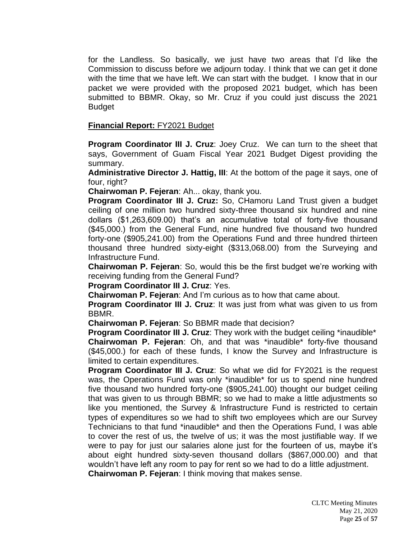for the Landless. So basically, we just have two areas that I'd like the Commission to discuss before we adjourn today. I think that we can get it done with the time that we have left. We can start with the budget. I know that in our packet we were provided with the proposed 2021 budget, which has been submitted to BBMR. Okay, so Mr. Cruz if you could just discuss the 2021 Budget

## **Financial Report:** FY2021 Budget

**Program Coordinator III J. Cruz**: Joey Cruz. We can turn to the sheet that says, Government of Guam Fiscal Year 2021 Budget Digest providing the summary.

**Administrative Director J. Hattig, III**: At the bottom of the page it says, one of four, right?

**Chairwoman P. Fejeran**: Ah... okay, thank you.

**Program Coordinator III J. Cruz:** So, CHamoru Land Trust given a budget ceiling of one million two hundred sixty-three thousand six hundred and nine dollars (\$1,263,609.00) that's an accumulative total of forty-five thousand (\$45,000.) from the General Fund, nine hundred five thousand two hundred forty-one (\$905,241.00) from the Operations Fund and three hundred thirteen thousand three hundred sixty-eight (\$313,068.00) from the Surveying and Infrastructure Fund.

**Chairwoman P. Fejeran**: So, would this be the first budget we're working with receiving funding from the General Fund?

**Program Coordinator III J. Cruz**: Yes.

**Chairwoman P. Fejeran**: And I'm curious as to how that came about.

**Program Coordinator III J. Cruz**: It was just from what was given to us from BBMR.

**Chairwoman P. Fejeran**: So BBMR made that decision?

**Program Coordinator III J. Cruz**: They work with the budget ceiling \*inaudible\* **Chairwoman P. Fejeran**: Oh, and that was \*inaudible\* forty-five thousand (\$45,000.) for each of these funds, I know the Survey and Infrastructure is limited to certain expenditures.

**Program Coordinator III J. Cruz**: So what we did for FY2021 is the request was, the Operations Fund was only \*inaudible\* for us to spend nine hundred five thousand two hundred forty-one (\$905,241.00) thought our budget ceiling that was given to us through BBMR; so we had to make a little adjustments so like you mentioned, the Survey & Infrastructure Fund is restricted to certain types of expenditures so we had to shift two employees which are our Survey Technicians to that fund \*inaudible\* and then the Operations Fund, I was able to cover the rest of us, the twelve of us; it was the most justifiable way. If we were to pay for just our salaries alone just for the fourteen of us, maybe it's about eight hundred sixty-seven thousand dollars (\$867,000.00) and that wouldn't have left any room to pay for rent so we had to do a little adjustment. **Chairwoman P. Fejeran**: I think moving that makes sense.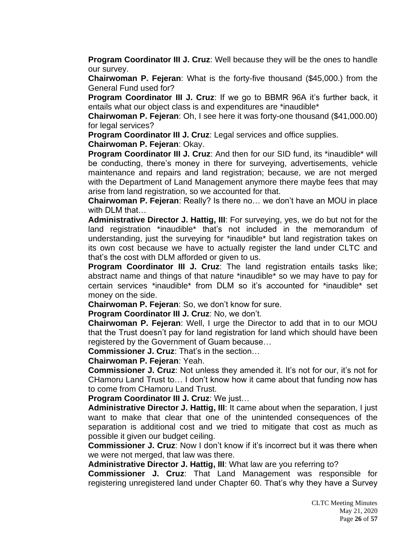**Program Coordinator III J. Cruz**: Well because they will be the ones to handle our survey.

**Chairwoman P. Fejeran**: What is the forty-five thousand (\$45,000.) from the General Fund used for?

**Program Coordinator III J. Cruz**: If we go to BBMR 96A it's further back, it entails what our object class is and expenditures are \*inaudible\*

**Chairwoman P. Fejeran**: Oh, I see here it was forty-one thousand (\$41,000.00) for legal services?

**Program Coordinator III J. Cruz**: Legal services and office supplies.

**Chairwoman P. Fejeran**: Okay.

**Program Coordinator III J. Cruz**: And then for our SID fund, its \*inaudible\* will be conducting, there's money in there for surveying, advertisements, vehicle maintenance and repairs and land registration; because, we are not merged with the Department of Land Management anymore there maybe fees that may arise from land registration, so we accounted for that.

**Chairwoman P. Fejeran**: Really? Is there no… we don't have an MOU in place with DLM that…

**Administrative Director J. Hattig, III**: For surveying, yes, we do but not for the land registration \*inaudible\* that's not included in the memorandum of understanding, just the surveying for \*inaudible\* but land registration takes on its own cost because we have to actually register the land under CLTC and that's the cost with DLM afforded or given to us.

**Program Coordinator III J. Cruz**: The land registration entails tasks like; abstract name and things of that nature \*inaudible\* so we may have to pay for certain services \*inaudible\* from DLM so it's accounted for \*inaudible\* set money on the side.

**Chairwoman P. Fejeran**: So, we don't know for sure.

**Program Coordinator III J. Cruz**: No, we don't.

**Chairwoman P. Fejeran**: Well, I urge the Director to add that in to our MOU that the Trust doesn't pay for land registration for land which should have been registered by the Government of Guam because…

**Commissioner J. Cruz**: That's in the section…

**Chairwoman P. Fejeran**: Yeah.

**Commissioner J. Cruz**: Not unless they amended it. It's not for our, it's not for CHamoru Land Trust to… I don't know how it came about that funding now has to come from CHamoru Land Trust.

**Program Coordinator III J. Cruz**: We just…

**Administrative Director J. Hattig, III**: It came about when the separation, I just want to make that clear that one of the unintended consequences of the separation is additional cost and we tried to mitigate that cost as much as possible it given our budget ceiling.

**Commissioner J. Cruz**: Now I don't know if it's incorrect but it was there when we were not merged, that law was there.

**Administrative Director J. Hattig, III**: What law are you referring to?

**Commissioner J. Cruz**: That Land Management was responsible for registering unregistered land under Chapter 60. That's why they have a Survey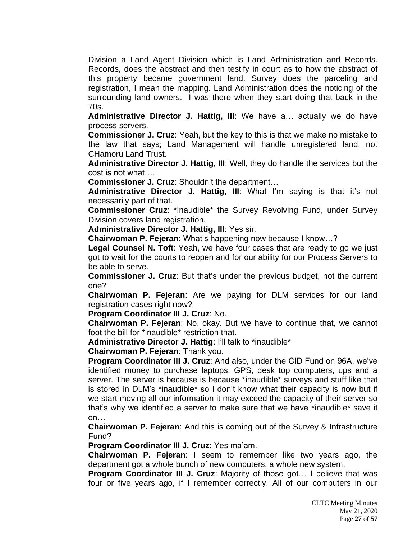Division a Land Agent Division which is Land Administration and Records. Records, does the abstract and then testify in court as to how the abstract of this property became government land. Survey does the parceling and registration, I mean the mapping. Land Administration does the noticing of the surrounding land owners. I was there when they start doing that back in the 70s.

**Administrative Director J. Hattig, III**: We have a… actually we do have process servers.

**Commissioner J. Cruz**: Yeah, but the key to this is that we make no mistake to the law that says; Land Management will handle unregistered land, not CHamoru Land Trust.

**Administrative Director J. Hattig, III**: Well, they do handle the services but the cost is not what….

**Commissioner J. Cruz**: Shouldn't the department…

**Administrative Director J. Hattig, III**: What I'm saying is that it's not necessarily part of that.

**Commissioner Cruz**: \*Inaudible\* the Survey Revolving Fund, under Survey Division covers land registration.

**Administrative Director J. Hattig, III**: Yes sir.

**Chairwoman P. Fejeran**: What's happening now because I know…?

**Legal Counsel N. Toft**: Yeah, we have four cases that are ready to go we just got to wait for the courts to reopen and for our ability for our Process Servers to be able to serve.

**Commissioner J. Cruz**: But that's under the previous budget, not the current one?

**Chairwoman P. Fejeran**: Are we paying for DLM services for our land registration cases right now?

**Program Coordinator III J. Cruz**: No.

**Chairwoman P. Fejeran**: No, okay. But we have to continue that, we cannot foot the bill for \*inaudible\* restriction that.

**Administrative Director J. Hattig**: I'll talk to \*inaudible\*

**Chairwoman P. Fejeran**: Thank you.

**Program Coordinator III J. Cruz**: And also, under the CID Fund on 96A, we've identified money to purchase laptops, GPS, desk top computers, ups and a server. The server is because is because \*inaudible\* surveys and stuff like that is stored in DLM's \*inaudible\* so I don't know what their capacity is now but if we start moving all our information it may exceed the capacity of their server so that's why we identified a server to make sure that we have \*inaudible\* save it on…

**Chairwoman P. Fejeran**: And this is coming out of the Survey & Infrastructure Fund?

**Program Coordinator III J. Cruz**: Yes ma'am.

**Chairwoman P. Fejeran**: I seem to remember like two years ago, the department got a whole bunch of new computers, a whole new system.

**Program Coordinator III J. Cruz**: Majority of those got… I believe that was four or five years ago, if I remember correctly. All of our computers in our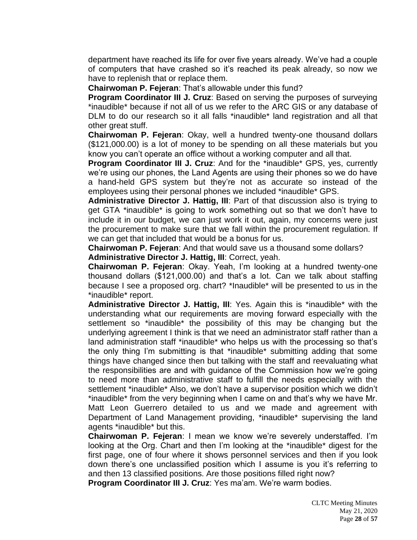department have reached its life for over five years already. We've had a couple of computers that have crashed so it's reached its peak already, so now we have to replenish that or replace them.

**Chairwoman P. Fejeran**: That's allowable under this fund?

**Program Coordinator III J. Cruz**: Based on serving the purposes of surveying \*inaudible\* because if not all of us we refer to the ARC GIS or any database of DLM to do our research so it all falls \*inaudible\* land registration and all that other great stuff.

**Chairwoman P. Fejeran**: Okay, well a hundred twenty-one thousand dollars (\$121,000.00) is a lot of money to be spending on all these materials but you know you can't operate an office without a working computer and all that.

**Program Coordinator III J. Cruz**: And for the \*inaudible\* GPS, yes, currently we're using our phones, the Land Agents are using their phones so we do have a hand-held GPS system but they're not as accurate so instead of the employees using their personal phones we included \*inaudible\* GPS.

**Administrative Director J. Hattig, III**: Part of that discussion also is trying to get GTA \*inaudible\* is going to work something out so that we don't have to include it in our budget, we can just work it out, again, my concerns were just the procurement to make sure that we fall within the procurement regulation. If we can get that included that would be a bonus for us.

**Chairwoman P. Fejeran**: And that would save us a thousand some dollars? **Administrative Director J. Hattig, III**: Correct, yeah.

**Chairwoman P. Fejeran**: Okay. Yeah, I'm looking at a hundred twenty-one thousand dollars (\$121,000.00) and that's a lot. Can we talk about staffing because I see a proposed org. chart? \*Inaudible\* will be presented to us in the \*inaudible\* report.

**Administrative Director J. Hattig, III**: Yes. Again this is \*inaudible\* with the understanding what our requirements are moving forward especially with the settlement so \*inaudible\* the possibility of this may be changing but the underlying agreement I think is that we need an administrator staff rather than a land administration staff \*inaudible\* who helps us with the processing so that's the only thing I'm submitting is that \*inaudible\* submitting adding that some things have changed since then but talking with the staff and reevaluating what the responsibilities are and with guidance of the Commission how we're going to need more than administrative staff to fulfill the needs especially with the settlement \*inaudible\* Also, we don't have a supervisor position which we didn't \*inaudible\* from the very beginning when I came on and that's why we have Mr. Matt Leon Guerrero detailed to us and we made and agreement with Department of Land Management providing, \*inaudible\* supervising the land agents \*inaudible\* but this.

**Chairwoman P. Fejeran**: I mean we know we're severely understaffed. I'm looking at the Org. Chart and then I'm looking at the \*inaudible\* digest for the first page, one of four where it shows personnel services and then if you look down there's one unclassified position which I assume is you it's referring to and then 13 classified positions. Are those positions filled right now?

**Program Coordinator III J. Cruz**: Yes ma'am. We're warm bodies.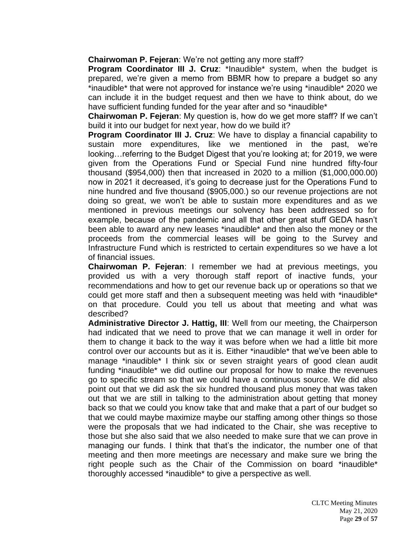**Chairwoman P. Fejeran**: We're not getting any more staff?

**Program Coordinator III J. Cruz**: \*Inaudible\* system, when the budget is prepared, we're given a memo from BBMR how to prepare a budget so any \*inaudible\* that were not approved for instance we're using \*inaudible\* 2020 we can include it in the budget request and then we have to think about, do we have sufficient funding funded for the year after and so \*inaudible\*

**Chairwoman P. Fejeran**: My question is, how do we get more staff? If we can't build it into our budget for next year, how do we build it?

**Program Coordinator III J. Cruz**: We have to display a financial capability to sustain more expenditures, like we mentioned in the past, we're looking…referring to the Budget Digest that you're looking at; for 2019, we were given from the Operations Fund or Special Fund nine hundred fifty-four thousand (\$954,000) then that increased in 2020 to a million (\$1,000,000.00) now in 2021 it decreased, it's going to decrease just for the Operations Fund to nine hundred and five thousand (\$905,000.) so our revenue projections are not doing so great, we won't be able to sustain more expenditures and as we mentioned in previous meetings our solvency has been addressed so for example, because of the pandemic and all that other great stuff GEDA hasn't been able to award any new leases \*inaudible\* and then also the money or the proceeds from the commercial leases will be going to the Survey and Infrastructure Fund which is restricted to certain expenditures so we have a lot of financial issues.

**Chairwoman P. Fejeran**: I remember we had at previous meetings, you provided us with a very thorough staff report of inactive funds, your recommendations and how to get our revenue back up or operations so that we could get more staff and then a subsequent meeting was held with \*inaudible\* on that procedure. Could you tell us about that meeting and what was described?

**Administrative Director J. Hattig, III**: Well from our meeting, the Chairperson had indicated that we need to prove that we can manage it well in order for them to change it back to the way it was before when we had a little bit more control over our accounts but as it is. Either \*inaudible\* that we've been able to manage \*inaudible\* I think six or seven straight years of good clean audit funding \*inaudible\* we did outline our proposal for how to make the revenues go to specific stream so that we could have a continuous source. We did also point out that we did ask the six hundred thousand plus money that was taken out that we are still in talking to the administration about getting that money back so that we could you know take that and make that a part of our budget so that we could maybe maximize maybe our staffing among other things so those were the proposals that we had indicated to the Chair, she was receptive to those but she also said that we also needed to make sure that we can prove in managing our funds. I think that that's the indicator, the number one of that meeting and then more meetings are necessary and make sure we bring the right people such as the Chair of the Commission on board \*inaudible\* thoroughly accessed \*inaudible\* to give a perspective as well.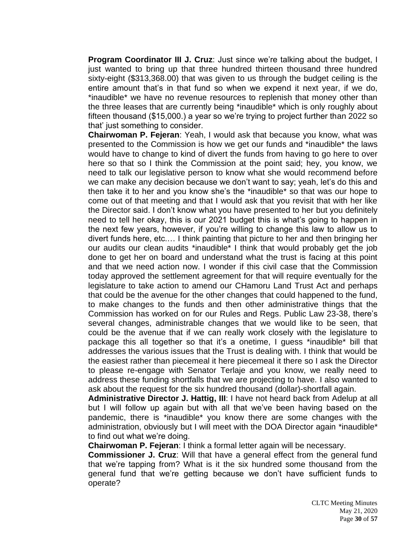**Program Coordinator III J. Cruz**: Just since we're talking about the budget, I just wanted to bring up that three hundred thirteen thousand three hundred sixty-eight (\$313,368.00) that was given to us through the budget ceiling is the entire amount that's in that fund so when we expend it next year, if we do, \*inaudible\* we have no revenue resources to replenish that money other than the three leases that are currently being \*inaudible\* which is only roughly about fifteen thousand (\$15,000.) a year so we're trying to project further than 2022 so that' just something to consider.

**Chairwoman P. Fejeran**: Yeah, I would ask that because you know, what was presented to the Commission is how we get our funds and \*inaudible\* the laws would have to change to kind of divert the funds from having to go here to over here so that so I think the Commission at the point said; hey, you know, we need to talk our legislative person to know what she would recommend before we can make any decision because we don't want to say; yeah, let's do this and then take it to her and you know she's the \*inaudible\* so that was our hope to come out of that meeting and that I would ask that you revisit that with her like the Director said. I don't know what you have presented to her but you definitely need to tell her okay, this is our 2021 budget this is what's going to happen in the next few years, however, if you're willing to change this law to allow us to divert funds here, etc.… I think painting that picture to her and then bringing her our audits our clean audits \*inaudible\* I think that would probably get the job done to get her on board and understand what the trust is facing at this point and that we need action now. I wonder if this civil case that the Commission today approved the settlement agreement for that will require eventually for the legislature to take action to amend our CHamoru Land Trust Act and perhaps that could be the avenue for the other changes that could happened to the fund, to make changes to the funds and then other administrative things that the Commission has worked on for our Rules and Regs. Public Law 23-38, there's several changes, administrable changes that we would like to be seen, that could be the avenue that if we can really work closely with the legislature to package this all together so that it's a onetime, I guess \*inaudible\* bill that addresses the various issues that the Trust is dealing with. I think that would be the easiest rather than piecemeal it here piecemeal it there so I ask the Director to please re-engage with Senator Terlaje and you know, we really need to address these funding shortfalls that we are projecting to have. I also wanted to ask about the request for the six hundred thousand (dollar)-shortfall again.

**Administrative Director J. Hattig, III**: I have not heard back from Adelup at all but I will follow up again but with all that we've been having based on the pandemic, there is \*inaudible\* you know there are some changes with the administration, obviously but I will meet with the DOA Director again \*inaudible\* to find out what we're doing.

**Chairwoman P. Fejeran**: I think a formal letter again will be necessary.

**Commissioner J. Cruz**: Will that have a general effect from the general fund that we're tapping from? What is it the six hundred some thousand from the general fund that we're getting because we don't have sufficient funds to operate?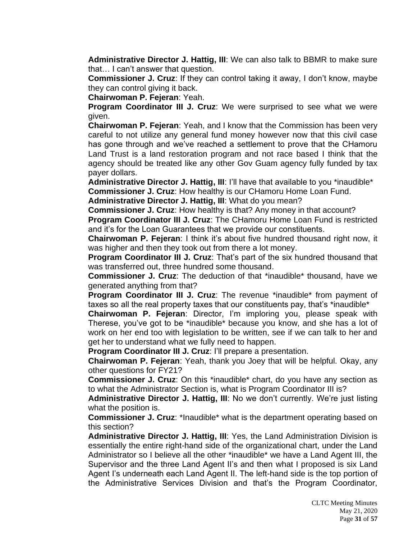**Administrative Director J. Hattig, III**: We can also talk to BBMR to make sure that… I can't answer that question.

**Commissioner J. Cruz**: If they can control taking it away, I don't know, maybe they can control giving it back.

**Chairwoman P. Fejeran**: Yeah.

**Program Coordinator III J. Cruz**: We were surprised to see what we were given.

**Chairwoman P. Fejeran**: Yeah, and I know that the Commission has been very careful to not utilize any general fund money however now that this civil case has gone through and we've reached a settlement to prove that the CHamoru Land Trust is a land restoration program and not race based I think that the agency should be treated like any other Gov Guam agency fully funded by tax payer dollars.

**Administrative Director J. Hattig, III: I'll have that available to you \*inaudible\* Commissioner J. Cruz**: How healthy is our CHamoru Home Loan Fund.

**Administrative Director J. Hattig, III**: What do you mean?

**Commissioner J. Cruz**: How healthy is that? Any money in that account? **Program Coordinator III J. Cruz**: The CHamoru Home Loan Fund is restricted and it's for the Loan Guarantees that we provide our constituents.

**Chairwoman P. Fejeran**: I think it's about five hundred thousand right now, it was higher and then they took out from there a lot money.

**Program Coordinator III J. Cruz**: That's part of the six hundred thousand that was transferred out, three hundred some thousand.

**Commissioner J. Cruz**: The deduction of that \*inaudible\* thousand, have we generated anything from that?

**Program Coordinator III J. Cruz**: The revenue \*inaudible\* from payment of taxes so all the real property taxes that our constituents pay, that's \*inaudible\*

**Chairwoman P. Fejeran**: Director, I'm imploring you, please speak with Therese, you've got to be \*inaudible\* because you know, and she has a lot of work on her end too with legislation to be written, see if we can talk to her and get her to understand what we fully need to happen.

**Program Coordinator III J. Cruz**: I'll prepare a presentation.

**Chairwoman P. Fejeran**: Yeah, thank you Joey that will be helpful. Okay, any other questions for FY21?

**Commissioner J. Cruz**: On this \*inaudible\* chart, do you have any section as to what the Administrator Section is, what is Program Coordinator III is?

**Administrative Director J. Hattig, III**: No we don't currently. We're just listing what the position is.

**Commissioner J. Cruz**: \*Inaudible\* what is the department operating based on this section?

**Administrative Director J. Hattig, III**: Yes, the Land Administration Division is essentially the entire right-hand side of the organizational chart, under the Land Administrator so I believe all the other \*inaudible\* we have a Land Agent III, the Supervisor and the three Land Agent II's and then what I proposed is six Land Agent I's underneath each Land Agent II. The left-hand side is the top portion of the Administrative Services Division and that's the Program Coordinator,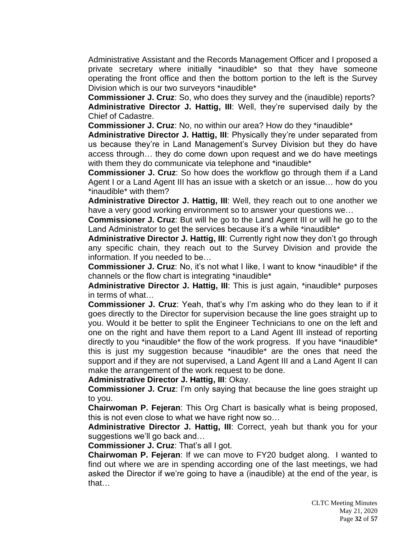Administrative Assistant and the Records Management Officer and I proposed a private secretary where initially \*inaudible\* so that they have someone operating the front office and then the bottom portion to the left is the Survey Division which is our two surveyors \*inaudible\*

**Commissioner J. Cruz**: So, who does they survey and the (inaudible) reports? **Administrative Director J. Hattig, III**: Well, they're supervised daily by the Chief of Cadastre.

**Commissioner J. Cruz**: No, no within our area? How do they \*inaudible\*

**Administrative Director J. Hattig, III**: Physically they're under separated from us because they're in Land Management's Survey Division but they do have access through… they do come down upon request and we do have meetings with them they do communicate via telephone and \*inaudible\*

**Commissioner J. Cruz**: So how does the workflow go through them if a Land Agent I or a Land Agent III has an issue with a sketch or an issue… how do you \*inaudible\* with them?

**Administrative Director J. Hattig, III**: Well, they reach out to one another we have a very good working environment so to answer your questions we…

**Commissioner J. Cruz**: But will he go to the Land Agent III or will he go to the Land Administrator to get the services because it's a while \*inaudible\*

**Administrative Director J. Hattig, III**: Currently right now they don't go through any specific chain, they reach out to the Survey Division and provide the information. If you needed to be…

**Commissioner J. Cruz**: No, it's not what I like, I want to know \*inaudible\* if the channels or the flow chart is integrating \*inaudible\*

**Administrative Director J. Hattig, III**: This is just again, \*inaudible\* purposes in terms of what…

**Commissioner J. Cruz**: Yeah, that's why I'm asking who do they lean to if it goes directly to the Director for supervision because the line goes straight up to you. Would it be better to split the Engineer Technicians to one on the left and one on the right and have them report to a Land Agent III instead of reporting directly to you \*inaudible\* the flow of the work progress. If you have \*inaudible\* this is just my suggestion because \*inaudible\* are the ones that need the support and if they are not supervised, a Land Agent III and a Land Agent II can make the arrangement of the work request to be done.

**Administrative Director J. Hattig, III**: Okay.

**Commissioner J. Cruz**: I'm only saying that because the line goes straight up to you.

**Chairwoman P. Fejeran**: This Org Chart is basically what is being proposed, this is not even close to what we have right now so…

**Administrative Director J. Hattig, III**: Correct, yeah but thank you for your suggestions we'll go back and…

**Commissioner J. Cruz**: That's all I got.

**Chairwoman P. Fejeran**: If we can move to FY20 budget along. I wanted to find out where we are in spending according one of the last meetings, we had asked the Director if we're going to have a (inaudible) at the end of the year, is that…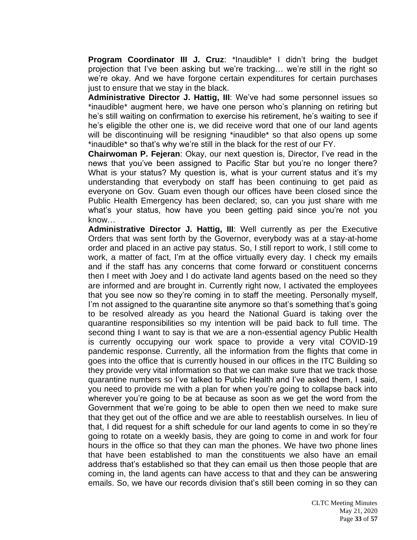**Program Coordinator III J. Cruz**: \*Inaudible\* I didn't bring the budget projection that I've been asking but we're tracking… we're still in the right so we're okay. And we have forgone certain expenditures for certain purchases just to ensure that we stay in the black.

**Administrative Director J. Hattig, III**: We've had some personnel issues so \*inaudible\* augment here, we have one person who's planning on retiring but he's still waiting on confirmation to exercise his retirement, he's waiting to see if he's eligible the other one is, we did receive word that one of our land agents will be discontinuing will be resigning \*inaudible\* so that also opens up some \*inaudible\* so that's why we're still in the black for the rest of our FY.

**Chairwoman P. Fejeran**: Okay, our next question is, Director, I've read in the news that you've been assigned to Pacific Star but you're no longer there? What is your status? My question is, what is your current status and it's my understanding that everybody on staff has been continuing to get paid as everyone on Gov. Guam even though our offices have been closed since the Public Health Emergency has been declared; so, can you just share with me what's your status, how have you been getting paid since you're not you know…

**Administrative Director J. Hattig, III**: Well currently as per the Executive Orders that was sent forth by the Governor, everybody was at a stay-at-home order and placed in an active pay status. So, I still report to work, I still come to work, a matter of fact, I'm at the office virtually every day. I check my emails and if the staff has any concerns that come forward or constituent concerns then I meet with Joey and I do activate land agents based on the need so they are informed and are brought in. Currently right now, I activated the employees that you see now so they're coming in to staff the meeting. Personally myself, I'm not assigned to the quarantine site anymore so that's something that's going to be resolved already as you heard the National Guard is taking over the quarantine responsibilities so my intention will be paid back to full time. The second thing I want to say is that we are a non-essential agency Public Health is currently occupying our work space to provide a very vital COVID-19 pandemic response. Currently, all the information from the flights that come in goes into the office that is currently housed in our offices in the ITC Building so they provide very vital information so that we can make sure that we track those quarantine numbers so I've talked to Public Health and I've asked them, I said, you need to provide me with a plan for when you're going to collapse back into wherever you're going to be at because as soon as we get the word from the Government that we're going to be able to open then we need to make sure that they get out of the office and we are able to reestablish ourselves. In lieu of that, I did request for a shift schedule for our land agents to come in so they're going to rotate on a weekly basis, they are going to come in and work for four hours in the office so that they can man the phones. We have two phone lines that have been established to man the constituents we also have an email address that's established so that they can email us then those people that are coming in, the land agents can have access to that and they can be answering emails. So, we have our records division that's still been coming in so they can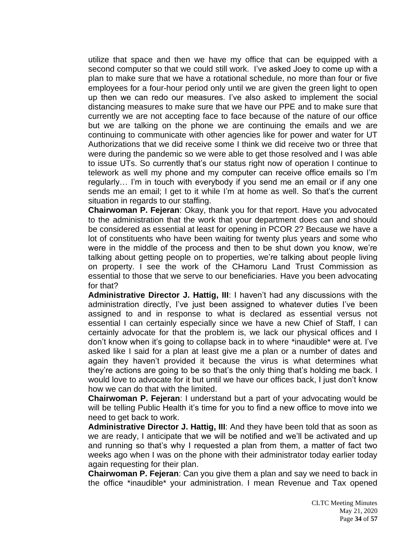utilize that space and then we have my office that can be equipped with a second computer so that we could still work. I've asked Joey to come up with a plan to make sure that we have a rotational schedule, no more than four or five employees for a four-hour period only until we are given the green light to open up then we can redo our measures. I've also asked to implement the social distancing measures to make sure that we have our PPE and to make sure that currently we are not accepting face to face because of the nature of our office but we are talking on the phone we are continuing the emails and we are continuing to communicate with other agencies like for power and water for UT Authorizations that we did receive some I think we did receive two or three that were during the pandemic so we were able to get those resolved and I was able to issue UTs. So currently that's our status right now of operation I continue to telework as well my phone and my computer can receive office emails so I'm regularly… I'm in touch with everybody if you send me an email or if any one sends me an email; I get to it while I'm at home as well. So that's the current situation in regards to our staffing.

**Chairwoman P. Fejeran**: Okay, thank you for that report. Have you advocated to the administration that the work that your department does can and should be considered as essential at least for opening in PCOR 2? Because we have a lot of constituents who have been waiting for twenty plus years and some who were in the middle of the process and then to be shut down you know, we're talking about getting people on to properties, we're talking about people living on property. I see the work of the CHamoru Land Trust Commission as essential to those that we serve to our beneficiaries. Have you been advocating for that?

**Administrative Director J. Hattig, III**: I haven't had any discussions with the administration directly, I've just been assigned to whatever duties I've been assigned to and in response to what is declared as essential versus not essential I can certainly especially since we have a new Chief of Staff, I can certainly advocate for that the problem is, we lack our physical offices and I don't know when it's going to collapse back in to where \*inaudible\* were at. I've asked like I said for a plan at least give me a plan or a number of dates and again they haven't provided it because the virus is what determines what they're actions are going to be so that's the only thing that's holding me back. I would love to advocate for it but until we have our offices back, I just don't know how we can do that with the limited.

**Chairwoman P. Fejeran**: I understand but a part of your advocating would be will be telling Public Health it's time for you to find a new office to move into we need to get back to work.

**Administrative Director J. Hattig, III**: And they have been told that as soon as we are ready, I anticipate that we will be notified and we'll be activated and up and running so that's why I requested a plan from them, a matter of fact two weeks ago when I was on the phone with their administrator today earlier today again requesting for their plan.

**Chairwoman P. Fejeran**: Can you give them a plan and say we need to back in the office \*inaudible\* your administration. I mean Revenue and Tax opened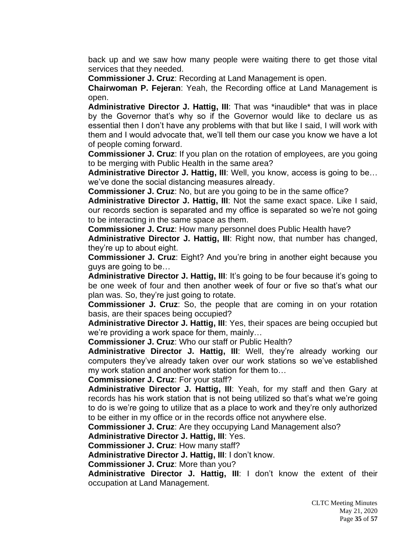back up and we saw how many people were waiting there to get those vital services that they needed.

**Commissioner J. Cruz**: Recording at Land Management is open.

**Chairwoman P. Fejeran**: Yeah, the Recording office at Land Management is open.

**Administrative Director J. Hattig, III**: That was \*inaudible\* that was in place by the Governor that's why so if the Governor would like to declare us as essential then I don't have any problems with that but like I said, I will work with them and I would advocate that, we'll tell them our case you know we have a lot of people coming forward.

**Commissioner J. Cruz**: If you plan on the rotation of employees, are you going to be merging with Public Health in the same area?

**Administrative Director J. Hattig, III:** Well, you know, access is going to be... we've done the social distancing measures already.

**Commissioner J. Cruz**: No, but are you going to be in the same office?

**Administrative Director J. Hattig, III**: Not the same exact space. Like I said, our records section is separated and my office is separated so we're not going to be interacting in the same space as them.

**Commissioner J. Cruz**: How many personnel does Public Health have?

**Administrative Director J. Hattig, III**: Right now, that number has changed, they're up to about eight.

**Commissioner J. Cruz**: Eight? And you're bring in another eight because you guys are going to be…

**Administrative Director J. Hattig, III**: It's going to be four because it's going to be one week of four and then another week of four or five so that's what our plan was. So, they're just going to rotate.

**Commissioner J. Cruz**: So, the people that are coming in on your rotation basis, are their spaces being occupied?

**Administrative Director J. Hattig, III**: Yes, their spaces are being occupied but we're providing a work space for them, mainly…

**Commissioner J. Cruz**: Who our staff or Public Health?

**Administrative Director J. Hattig, III**: Well, they're already working our computers they've already taken over our work stations so we've established my work station and another work station for them to…

**Commissioner J. Cruz**: For your staff?

**Administrative Director J. Hattig, III**: Yeah, for my staff and then Gary at records has his work station that is not being utilized so that's what we're going to do is we're going to utilize that as a place to work and they're only authorized to be either in my office or in the records office not anywhere else.

**Commissioner J. Cruz**: Are they occupying Land Management also?

**Administrative Director J. Hattig, III**: Yes.

**Commissioner J. Cruz**: How many staff?

**Administrative Director J. Hattig, III**: I don't know.

**Commissioner J. Cruz**: More than you?

**Administrative Director J. Hattig, III**: I don't know the extent of their occupation at Land Management.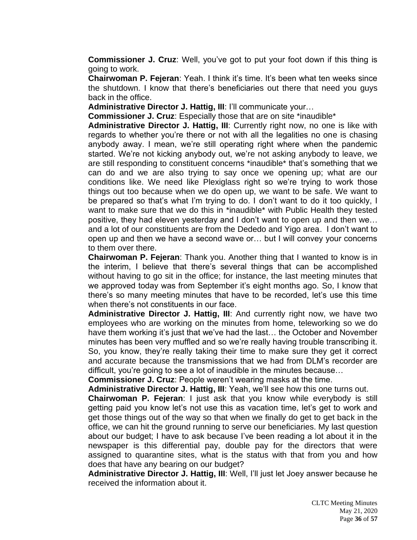**Commissioner J. Cruz**: Well, you've got to put your foot down if this thing is going to work.

**Chairwoman P. Fejeran**: Yeah. I think it's time. It's been what ten weeks since the shutdown. I know that there's beneficiaries out there that need you guys back in the office.

**Administrative Director J. Hattig, III**: I'll communicate your…

**Commissioner J. Cruz**: Especially those that are on site \*inaudible\*

**Administrative Director J. Hattig, III**: Currently right now, no one is like with regards to whether you're there or not with all the legalities no one is chasing anybody away. I mean, we're still operating right where when the pandemic started. We're not kicking anybody out, we're not asking anybody to leave, we are still responding to constituent concerns \*inaudible\* that's something that we can do and we are also trying to say once we opening up; what are our conditions like. We need like Plexiglass right so we're trying to work those things out too because when we do open up, we want to be safe. We want to be prepared so that's what I'm trying to do. I don't want to do it too quickly, I want to make sure that we do this in \*inaudible\* with Public Health they tested positive, they had eleven yesterday and I don't want to open up and then we… and a lot of our constituents are from the Dededo and Yigo area. I don't want to open up and then we have a second wave or… but I will convey your concerns to them over there.

**Chairwoman P. Fejeran**: Thank you. Another thing that I wanted to know is in the interim, I believe that there's several things that can be accomplished without having to go sit in the office; for instance, the last meeting minutes that we approved today was from September it's eight months ago. So, I know that there's so many meeting minutes that have to be recorded, let's use this time when there's not constituents in our face.

**Administrative Director J. Hattig, III**: And currently right now, we have two employees who are working on the minutes from home, teleworking so we do have them working it's just that we've had the last… the October and November minutes has been very muffled and so we're really having trouble transcribing it. So, you know, they're really taking their time to make sure they get it correct and accurate because the transmissions that we had from DLM's recorder are difficult, you're going to see a lot of inaudible in the minutes because…

**Commissioner J. Cruz**: People weren't wearing masks at the time.

**Administrative Director J. Hattig, III**: Yeah, we'll see how this one turns out.

**Chairwoman P. Fejeran**: I just ask that you know while everybody is still getting paid you know let's not use this as vacation time, let's get to work and get those things out of the way so that when we finally do get to get back in the office, we can hit the ground running to serve our beneficiaries. My last question about our budget; I have to ask because I've been reading a lot about it in the newspaper is this differential pay, double pay for the directors that were assigned to quarantine sites, what is the status with that from you and how does that have any bearing on our budget?

**Administrative Director J. Hattig, III**: Well, I'll just let Joey answer because he received the information about it.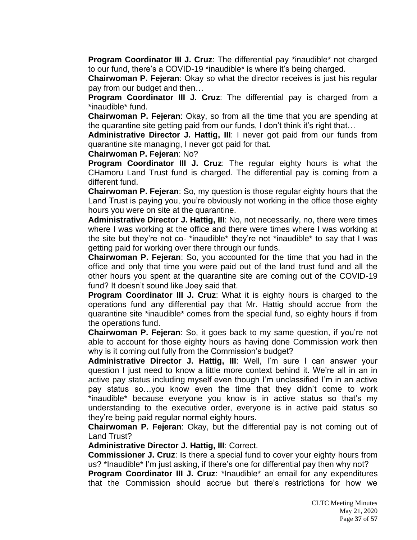**Program Coordinator III J. Cruz**: The differential pay \*inaudible\* not charged to our fund, there's a COVID-19 \*inaudible\* is where it's being charged.

**Chairwoman P. Fejeran**: Okay so what the director receives is just his regular pay from our budget and then…

**Program Coordinator III J. Cruz**: The differential pay is charged from a \*inaudible\* fund.

**Chairwoman P. Fejeran**: Okay, so from all the time that you are spending at the quarantine site getting paid from our funds, I don't think it's right that…

**Administrative Director J. Hattig, III**: I never got paid from our funds from quarantine site managing, I never got paid for that.

**Chairwoman P. Fejeran**: No?

**Program Coordinator III J. Cruz**: The regular eighty hours is what the CHamoru Land Trust fund is charged. The differential pay is coming from a different fund.

**Chairwoman P. Fejeran**: So, my question is those regular eighty hours that the Land Trust is paying you, you're obviously not working in the office those eighty hours you were on site at the quarantine.

**Administrative Director J. Hattig, III**: No, not necessarily, no, there were times where I was working at the office and there were times where I was working at the site but they're not co- \*inaudible\* they're not \*inaudible\* to say that I was getting paid for working over there through our funds.

**Chairwoman P. Fejeran**: So, you accounted for the time that you had in the office and only that time you were paid out of the land trust fund and all the other hours you spent at the quarantine site are coming out of the COVID-19 fund? It doesn't sound like Joey said that.

**Program Coordinator III J. Cruz**: What it is eighty hours is charged to the operations fund any differential pay that Mr. Hattig should accrue from the quarantine site \*inaudible\* comes from the special fund, so eighty hours if from the operations fund.

**Chairwoman P. Fejeran**: So, it goes back to my same question, if you're not able to account for those eighty hours as having done Commission work then why is it coming out fully from the Commission's budget?

**Administrative Director J. Hattig, III**: Well, I'm sure I can answer your question I just need to know a little more context behind it. We're all in an in active pay status including myself even though I'm unclassified I'm in an active pay status so…you know even the time that they didn't come to work \*inaudible\* because everyone you know is in active status so that's my understanding to the executive order, everyone is in active paid status so they're being paid regular normal eighty hours.

**Chairwoman P. Fejeran**: Okay, but the differential pay is not coming out of Land Trust?

**Administrative Director J. Hattig, III**: Correct.

**Commissioner J. Cruz**: Is there a special fund to cover your eighty hours from us? \*Inaudible\* I'm just asking, if there's one for differential pay then why not?

**Program Coordinator III J. Cruz**: \*Inaudible\* an email for any expenditures that the Commission should accrue but there's restrictions for how we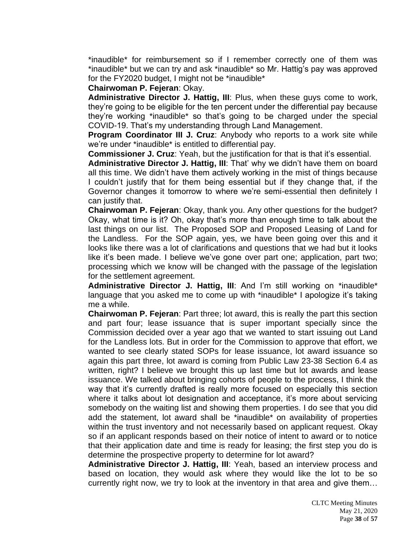\*inaudible\* for reimbursement so if I remember correctly one of them was \*inaudible\* but we can try and ask \*inaudible\* so Mr. Hattig's pay was approved for the FY2020 budget, I might not be \*inaudible\*

### **Chairwoman P. Fejeran**: Okay.

**Administrative Director J. Hattig, III**: Plus, when these guys come to work, they're going to be eligible for the ten percent under the differential pay because they're working \*inaudible\* so that's going to be charged under the special COVID-19. That's my understanding through Land Management.

**Program Coordinator III J. Cruz**: Anybody who reports to a work site while we're under \*inaudible\* is entitled to differential pay.

**Commissioner J. Cruz**: Yeah, but the justification for that is that it's essential.

**Administrative Director J. Hattig, III**: That' why we didn't have them on board all this time. We didn't have them actively working in the mist of things because I couldn't justify that for them being essential but if they change that, if the Governor changes it tomorrow to where we're semi-essential then definitely I can justify that.

**Chairwoman P. Fejeran**: Okay, thank you. Any other questions for the budget? Okay, what time is it? Oh, okay that's more than enough time to talk about the last things on our list. The Proposed SOP and Proposed Leasing of Land for the Landless. For the SOP again, yes, we have been going over this and it looks like there was a lot of clarifications and questions that we had but it looks like it's been made. I believe we've gone over part one; application, part two; processing which we know will be changed with the passage of the legislation for the settlement agreement.

**Administrative Director J. Hattig, III**: And I'm still working on \*inaudible\* language that you asked me to come up with \*inaudible\* I apologize it's taking me a while.

**Chairwoman P. Fejeran**: Part three; lot award, this is really the part this section and part four; lease issuance that is super important specially since the Commission decided over a year ago that we wanted to start issuing out Land for the Landless lots. But in order for the Commission to approve that effort, we wanted to see clearly stated SOPs for lease issuance, lot award issuance so again this part three, lot award is coming from Public Law 23-38 Section 6.4 as written, right? I believe we brought this up last time but lot awards and lease issuance. We talked about bringing cohorts of people to the process, I think the way that it's currently drafted is really more focused on especially this section where it talks about lot designation and acceptance, it's more about servicing somebody on the waiting list and showing them properties. I do see that you did add the statement, lot award shall be \*inaudible\* on availability of properties within the trust inventory and not necessarily based on applicant request. Okay so if an applicant responds based on their notice of intent to award or to notice that their application date and time is ready for leasing; the first step you do is determine the prospective property to determine for lot award?

**Administrative Director J. Hattig, III**: Yeah, based an interview process and based on location, they would ask where they would like the lot to be so currently right now, we try to look at the inventory in that area and give them…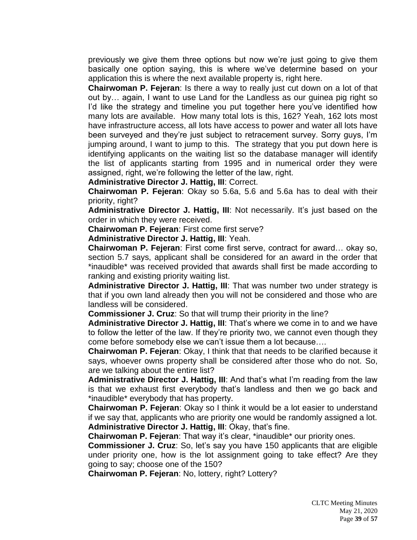previously we give them three options but now we're just going to give them basically one option saying, this is where we've determine based on your application this is where the next available property is, right here.

**Chairwoman P. Fejeran**: Is there a way to really just cut down on a lot of that out by… again, I want to use Land for the Landless as our guinea pig right so I'd like the strategy and timeline you put together here you've identified how many lots are available. How many total lots is this, 162? Yeah, 162 lots most have infrastructure access, all lots have access to power and water all lots have been surveyed and they're just subject to retracement survey. Sorry guys, I'm jumping around, I want to jump to this. The strategy that you put down here is identifying applicants on the waiting list so the database manager will identify the list of applicants starting from 1995 and in numerical order they were assigned, right, we're following the letter of the law, right.

**Administrative Director J. Hattig, III**: Correct.

**Chairwoman P. Fejeran**: Okay so 5.6a, 5.6 and 5.6a has to deal with their priority, right?

**Administrative Director J. Hattig, III**: Not necessarily. It's just based on the order in which they were received.

**Chairwoman P. Fejeran**: First come first serve?

**Administrative Director J. Hattig, III**: Yeah.

**Chairwoman P. Fejeran**: First come first serve, contract for award… okay so, section 5.7 says, applicant shall be considered for an award in the order that \*inaudible\* was received provided that awards shall first be made according to ranking and existing priority waiting list.

**Administrative Director J. Hattig, III**: That was number two under strategy is that if you own land already then you will not be considered and those who are landless will be considered.

**Commissioner J. Cruz**: So that will trump their priority in the line?

**Administrative Director J. Hattig, III**: That's where we come in to and we have to follow the letter of the law. If they're priority two, we cannot even though they come before somebody else we can't issue them a lot because….

**Chairwoman P. Fejeran**: Okay, I think that that needs to be clarified because it says, whoever owns property shall be considered after those who do not. So, are we talking about the entire list?

**Administrative Director J. Hattig, III**: And that's what I'm reading from the law is that we exhaust first everybody that's landless and then we go back and \*inaudible\* everybody that has property.

**Chairwoman P. Fejeran**: Okay so I think it would be a lot easier to understand if we say that, applicants who are priority one would be randomly assigned a lot. **Administrative Director J. Hattig, III**: Okay, that's fine.

**Chairwoman P. Fejeran**: That way it's clear, \*inaudible\* our priority ones.

**Commissioner J. Cruz**: So, let's say you have 150 applicants that are eligible under priority one, how is the lot assignment going to take effect? Are they going to say; choose one of the 150?

**Chairwoman P. Fejeran**: No, lottery, right? Lottery?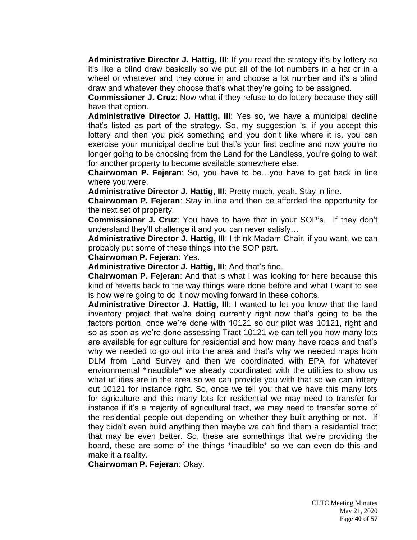**Administrative Director J. Hattig, III**: If you read the strategy it's by lottery so it's like a blind draw basically so we put all of the lot numbers in a hat or in a wheel or whatever and they come in and choose a lot number and it's a blind draw and whatever they choose that's what they're going to be assigned.

**Commissioner J. Cruz**: Now what if they refuse to do lottery because they still have that option.

**Administrative Director J. Hattig, III**: Yes so, we have a municipal decline that's listed as part of the strategy. So, my suggestion is, if you accept this lottery and then you pick something and you don't like where it is, you can exercise your municipal decline but that's your first decline and now you're no longer going to be choosing from the Land for the Landless, you're going to wait for another property to become available somewhere else.

**Chairwoman P. Fejeran**: So, you have to be…you have to get back in line where you were.

**Administrative Director J. Hattig, III**: Pretty much, yeah. Stay in line.

**Chairwoman P. Fejeran**: Stay in line and then be afforded the opportunity for the next set of property.

**Commissioner J. Cruz**: You have to have that in your SOP's. If they don't understand they'll challenge it and you can never satisfy…

**Administrative Director J. Hattig, III**: I think Madam Chair, if you want, we can probably put some of these things into the SOP part.

**Chairwoman P. Fejeran**: Yes.

**Administrative Director J. Hattig, III**: And that's fine.

**Chairwoman P. Fejeran**: And that is what I was looking for here because this kind of reverts back to the way things were done before and what I want to see is how we're going to do it now moving forward in these cohorts.

**Administrative Director J. Hattig, III**: I wanted to let you know that the land inventory project that we're doing currently right now that's going to be the factors portion, once we're done with 10121 so our pilot was 10121, right and so as soon as we're done assessing Tract 10121 we can tell you how many lots are available for agriculture for residential and how many have roads and that's why we needed to go out into the area and that's why we needed maps from DLM from Land Survey and then we coordinated with EPA for whatever environmental \*inaudible\* we already coordinated with the utilities to show us what utilities are in the area so we can provide you with that so we can lottery out 10121 for instance right. So, once we tell you that we have this many lots for agriculture and this many lots for residential we may need to transfer for instance if it's a majority of agricultural tract, we may need to transfer some of the residential people out depending on whether they built anything or not. If they didn't even build anything then maybe we can find them a residential tract that may be even better. So, these are somethings that we're providing the board, these are some of the things \*inaudible\* so we can even do this and make it a reality.

**Chairwoman P. Fejeran**: Okay.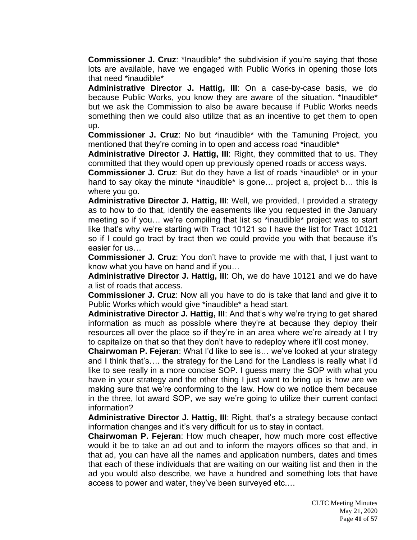**Commissioner J. Cruz:** \*Inaudible\* the subdivision if you're saying that those lots are available, have we engaged with Public Works in opening those lots that need \*inaudible\*

**Administrative Director J. Hattig, III**: On a case-by-case basis, we do because Public Works, you know they are aware of the situation. \*Inaudible\* but we ask the Commission to also be aware because if Public Works needs something then we could also utilize that as an incentive to get them to open up.

**Commissioner J. Cruz**: No but \*inaudible\* with the Tamuning Project, you mentioned that they're coming in to open and access road \*inaudible\*

**Administrative Director J. Hattig, III**: Right, they committed that to us. They committed that they would open up previously opened roads or access ways.

**Commissioner J. Cruz**: But do they have a list of roads \*inaudible\* or in your hand to say okay the minute \*inaudible\* is gone… project a, project b… this is where you go.

**Administrative Director J. Hattig, III**: Well, we provided, I provided a strategy as to how to do that, identify the easements like you requested in the January meeting so if you… we're compiling that list so \*inaudible\* project was to start like that's why we're starting with Tract 10121 so I have the list for Tract 10121 so if I could go tract by tract then we could provide you with that because it's easier for us…

**Commissioner J. Cruz**: You don't have to provide me with that, I just want to know what you have on hand and if you…

**Administrative Director J. Hattig, III**: Oh, we do have 10121 and we do have a list of roads that access.

**Commissioner J. Cruz**: Now all you have to do is take that land and give it to Public Works which would give \*inaudible\* a head start.

**Administrative Director J. Hattig, III**: And that's why we're trying to get shared information as much as possible where they're at because they deploy their resources all over the place so if they're in an area where we're already at I try to capitalize on that so that they don't have to redeploy where it'll cost money.

**Chairwoman P. Fejeran**: What I'd like to see is… we've looked at your strategy and I think that's…. the strategy for the Land for the Landless is really what I'd like to see really in a more concise SOP. I guess marry the SOP with what you have in your strategy and the other thing I just want to bring up is how are we making sure that we're conforming to the law. How do we notice them because in the three, lot award SOP, we say we're going to utilize their current contact information?

**Administrative Director J. Hattig, III**: Right, that's a strategy because contact information changes and it's very difficult for us to stay in contact.

**Chairwoman P. Fejeran**: How much cheaper, how much more cost effective would it be to take an ad out and to inform the mayors offices so that and, in that ad, you can have all the names and application numbers, dates and times that each of these individuals that are waiting on our waiting list and then in the ad you would also describe, we have a hundred and something lots that have access to power and water, they've been surveyed etc.…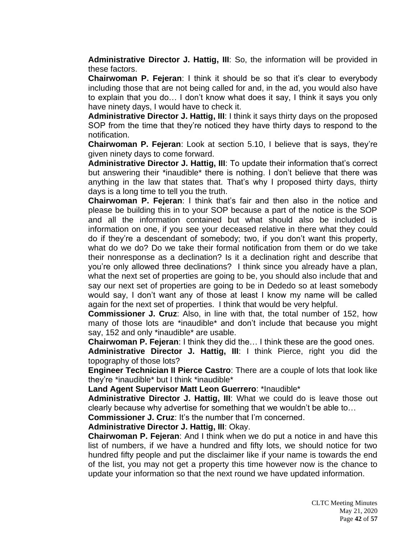**Administrative Director J. Hattig, III**: So, the information will be provided in these factors.

**Chairwoman P. Fejeran**: I think it should be so that it's clear to everybody including those that are not being called for and, in the ad, you would also have to explain that you do… I don't know what does it say, I think it says you only have ninety days, I would have to check it.

**Administrative Director J. Hattig, III**: I think it says thirty days on the proposed SOP from the time that they're noticed they have thirty days to respond to the notification.

**Chairwoman P. Fejeran**: Look at section 5.10, I believe that is says, they're given ninety days to come forward.

**Administrative Director J. Hattig, III**: To update their information that's correct but answering their \*inaudible\* there is nothing. I don't believe that there was anything in the law that states that. That's why I proposed thirty days, thirty days is a long time to tell you the truth.

**Chairwoman P. Fejeran**: I think that's fair and then also in the notice and please be building this in to your SOP because a part of the notice is the SOP and all the information contained but what should also be included is information on one, if you see your deceased relative in there what they could do if they're a descendant of somebody; two, if you don't want this property, what do we do? Do we take their formal notification from them or do we take their nonresponse as a declination? Is it a declination right and describe that you're only allowed three declinations? I think since you already have a plan, what the next set of properties are going to be, you should also include that and say our next set of properties are going to be in Dededo so at least somebody would say, I don't want any of those at least I know my name will be called again for the next set of properties. I think that would be very helpful.

**Commissioner J. Cruz**: Also, in line with that, the total number of 152, how many of those lots are \*inaudible\* and don't include that because you might say, 152 and only \*inaudible\* are usable.

**Chairwoman P. Fejeran**: I think they did the… I think these are the good ones.

**Administrative Director J. Hattig, III**: I think Pierce, right you did the topography of those lots?

**Engineer Technician II Pierce Castro**: There are a couple of lots that look like they're \*inaudible\* but I think \*inaudible\*

**Land Agent Supervisor Matt Leon Guerrero**: \*Inaudible\*

**Administrative Director J. Hattig, III**: What we could do is leave those out clearly because why advertise for something that we wouldn't be able to…

**Commissioner J. Cruz**: It's the number that I'm concerned.

**Administrative Director J. Hattig, III**: Okay.

**Chairwoman P. Fejeran**: And I think when we do put a notice in and have this list of numbers, if we have a hundred and fifty lots, we should notice for two hundred fifty people and put the disclaimer like if your name is towards the end of the list, you may not get a property this time however now is the chance to update your information so that the next round we have updated information.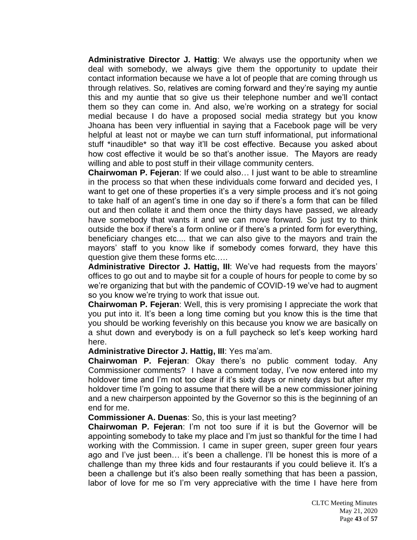**Administrative Director J. Hattig**: We always use the opportunity when we deal with somebody, we always give them the opportunity to update their contact information because we have a lot of people that are coming through us through relatives. So, relatives are coming forward and they're saying my auntie this and my auntie that so give us their telephone number and we'll contact them so they can come in. And also, we're working on a strategy for social medial because I do have a proposed social media strategy but you know Jhoana has been very influential in saying that a Facebook page will be very helpful at least not or maybe we can turn stuff informational, put informational stuff \*inaudible\* so that way it'll be cost effective. Because you asked about how cost effective it would be so that's another issue. The Mayors are ready willing and able to post stuff in their village community centers.

**Chairwoman P. Fejeran**: If we could also… I just want to be able to streamline in the process so that when these individuals come forward and decided yes, I want to get one of these properties it's a very simple process and it's not going to take half of an agent's time in one day so if there's a form that can be filled out and then collate it and them once the thirty days have passed, we already have somebody that wants it and we can move forward. So just try to think outside the box if there's a form online or if there's a printed form for everything, beneficiary changes etc.... that we can also give to the mayors and train the mayors' staff to you know like if somebody comes forward, they have this question give them these forms etc.….

**Administrative Director J. Hattig, III**: We've had requests from the mayors' offices to go out and to maybe sit for a couple of hours for people to come by so we're organizing that but with the pandemic of COVID-19 we've had to augment so you know we're trying to work that issue out.

**Chairwoman P. Fejeran**: Well, this is very promising I appreciate the work that you put into it. It's been a long time coming but you know this is the time that you should be working feverishly on this because you know we are basically on a shut down and everybody is on a full paycheck so let's keep working hard here.

**Administrative Director J. Hattig, III**: Yes ma'am.

**Chairwoman P. Fejeran**: Okay there's no public comment today. Any Commissioner comments? I have a comment today, I've now entered into my holdover time and I'm not too clear if it's sixty days or ninety days but after my holdover time I'm going to assume that there will be a new commissioner joining and a new chairperson appointed by the Governor so this is the beginning of an end for me.

**Commissioner A. Duenas**: So, this is your last meeting?

**Chairwoman P. Fejeran**: I'm not too sure if it is but the Governor will be appointing somebody to take my place and I'm just so thankful for the time I had working with the Commission. I came in super green, super green four years ago and I've just been… it's been a challenge. I'll be honest this is more of a challenge than my three kids and four restaurants if you could believe it. It's a been a challenge but it's also been really something that has been a passion, labor of love for me so I'm very appreciative with the time I have here from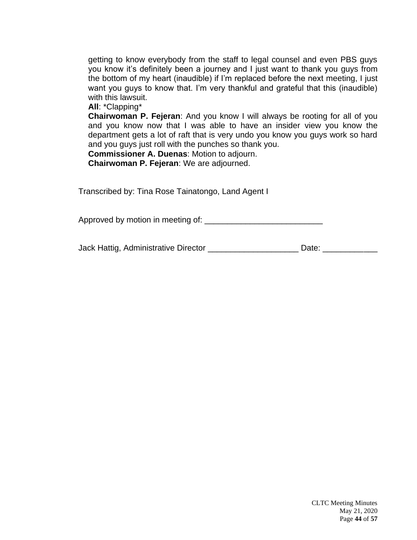getting to know everybody from the staff to legal counsel and even PBS guys you know it's definitely been a journey and I just want to thank you guys from the bottom of my heart (inaudible) if I'm replaced before the next meeting, I just want you guys to know that. I'm very thankful and grateful that this (inaudible) with this lawsuit.

### **All**: \*Clapping\*

**Chairwoman P. Fejeran**: And you know I will always be rooting for all of you and you know now that I was able to have an insider view you know the department gets a lot of raft that is very undo you know you guys work so hard and you guys just roll with the punches so thank you.

**Commissioner A. Duenas**: Motion to adjourn.

**Chairwoman P. Fejeran**: We are adjourned.

Transcribed by: Tina Rose Tainatongo, Land Agent I

Approved by motion in meeting of: \_\_\_\_\_\_\_\_\_\_\_\_\_\_\_\_\_\_\_\_\_\_\_\_\_\_

Jack Hattig, Administrative Director \_\_\_\_\_\_\_\_\_\_\_\_\_\_\_\_\_\_\_\_ Date: \_\_\_\_\_\_\_\_\_\_\_\_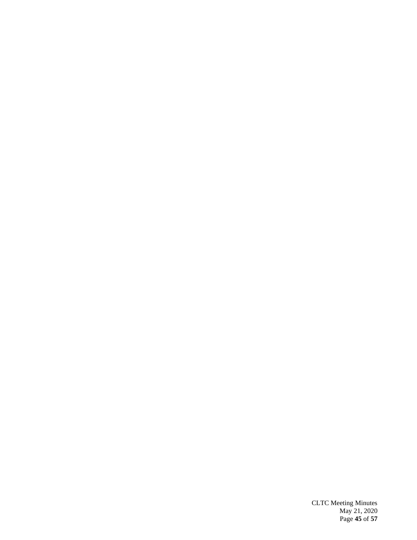CLTC Meeting Minutes May 21, 2020 Page **45** of **57**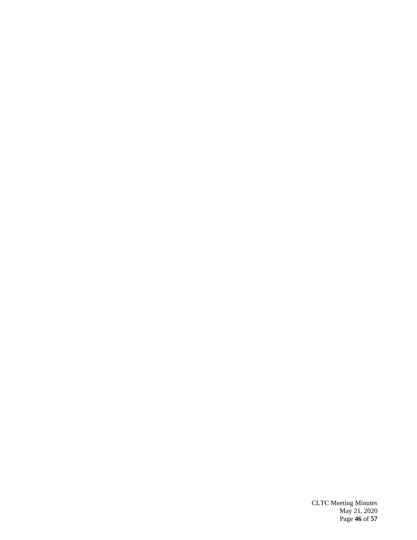CLTC Meeting Minutes May 21, 2020 Page **46** of **57**